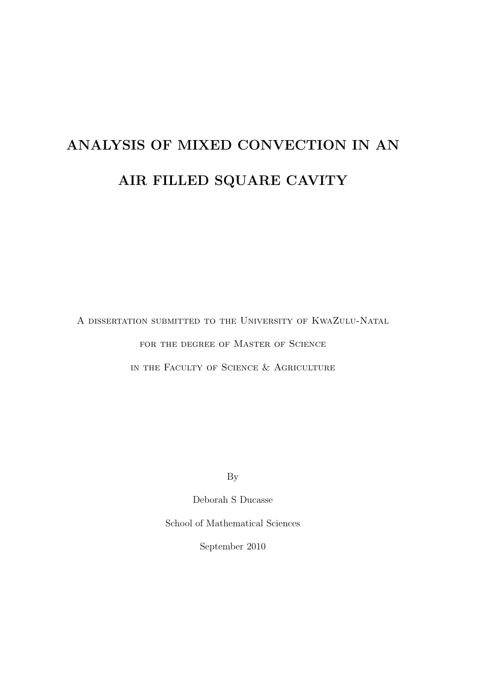# ANALYSIS OF MIXED CONVECTION IN AN AIR FILLED SQUARE CAVITY

A dissertation submitted to the University of KwaZulu-Natal FOR THE DEGREE OF MASTER OF SCIENCE in the Faculty of Science & Agriculture

By

Deborah S Ducasse

School of Mathematical Sciences

September 2010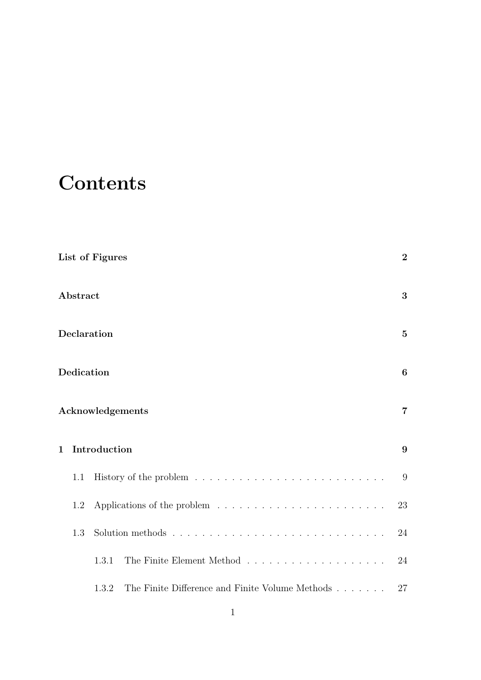## **Contents**

|                  |             | List of Figures                                          | $\overline{2}$ |  |  |
|------------------|-------------|----------------------------------------------------------|----------------|--|--|
|                  | Abstract    |                                                          | 3              |  |  |
|                  | Declaration |                                                          |                |  |  |
|                  | Dedication  |                                                          |                |  |  |
| Acknowledgements |             |                                                          |                |  |  |
| $\mathbf{1}$     |             | Introduction                                             | 9              |  |  |
|                  | 1.1         |                                                          | 9              |  |  |
|                  | 1.2         |                                                          | 23             |  |  |
|                  | 1.3         |                                                          | 24             |  |  |
|                  |             | 1.3.1                                                    | 24             |  |  |
|                  |             | The Finite Difference and Finite Volume Methods<br>1.3.2 | 27             |  |  |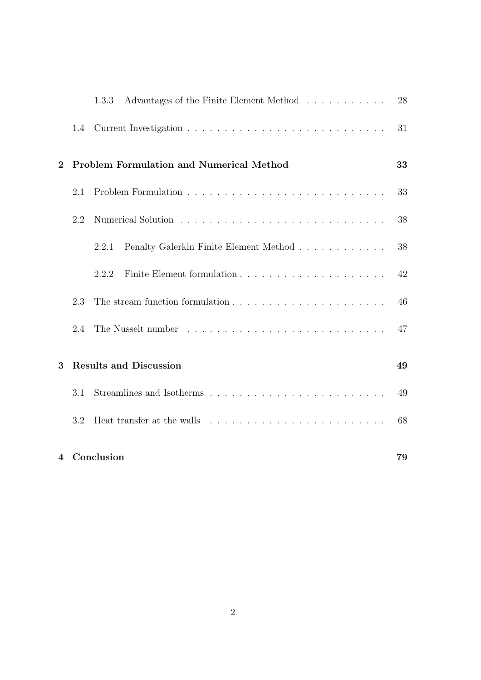|                |     | Advantages of the Finite Element Method<br>1.3.3                                     | 28 |
|----------------|-----|--------------------------------------------------------------------------------------|----|
|                | 1.4 |                                                                                      | 31 |
| $\overline{2}$ |     | <b>Problem Formulation and Numerical Method</b>                                      | 33 |
|                | 2.1 |                                                                                      | 33 |
|                | 2.2 |                                                                                      | 38 |
|                |     | Penalty Galerkin Finite Element Method<br>2.2.1                                      | 38 |
|                |     | 2.2.2                                                                                | 42 |
|                | 2.3 |                                                                                      | 46 |
|                | 2.4 |                                                                                      | 47 |
| 3              |     | <b>Results and Discussion</b>                                                        | 49 |
|                | 3.1 |                                                                                      | 49 |
|                | 3.2 | Heat transfer at the walls $\ldots \ldots \ldots \ldots \ldots \ldots \ldots \ldots$ | 68 |
| $\overline{4}$ |     | Conclusion                                                                           | 79 |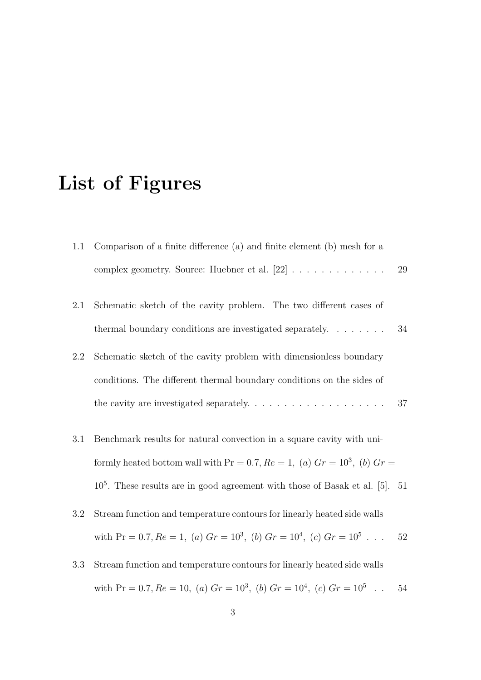## List of Figures

- 1.1 Comparison of a finite difference (a) and finite element (b) mesh for a complex geometry. Source: Huebner et al. [22] . . . . . . . . . . . . . 29 2.1 Schematic sketch of the cavity problem. The two different cases of thermal boundary conditions are investigated separately. . . . . . . . 34 2.2 Schematic sketch of the cavity problem with dimensionless boundary conditions. The different thermal boundary conditions on the sides of the cavity are investigated separately. . . . . . . . . . . . . . . . . . . 37
- 3.1 Benchmark results for natural convection in a square cavity with uniformly heated bottom wall with  $Pr = 0.7, Re = 1, (a)$   $Gr = 10^3, (b)$   $Gr =$ 10<sup>5</sup> . These results are in good agreement with those of Basak et al. [5]. 51
- 3.2 Stream function and temperature contours for linearly heated side walls with Pr = 0.7,  $Re = 1$ , (a)  $Gr = 10^3$ , (b)  $Gr = 10^4$ , (c)  $Gr = 10^5$ ... 52
- 3.3 Stream function and temperature contours for linearly heated side walls with Pr = 0.7,  $Re = 10$ , (a)  $Gr = 10^3$ , (b)  $Gr = 10^4$ , (c)  $Gr = 10^5$ . 54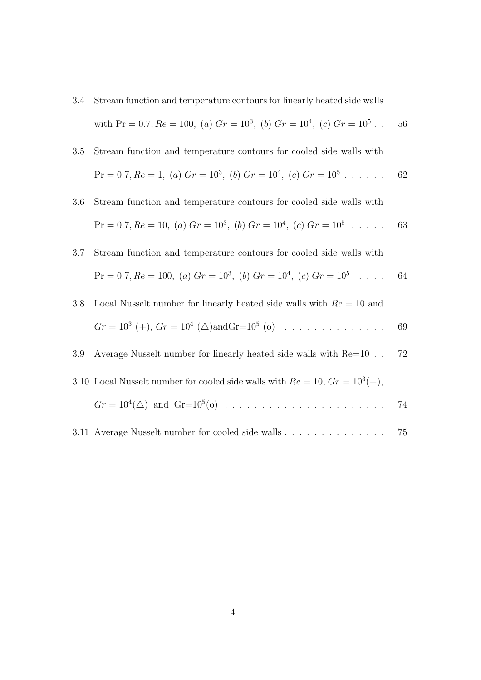3.4 Stream function and temperature contours for linearly heated side walls with Pr = 0.7,  $Re = 100$ , (a)  $Gr = 10^3$ , (b)  $Gr = 10^4$ , (c)  $Gr = 10^5$ . 56

3.5 Stream function and temperature contours for cooled side walls with  
\n
$$
Pr = 0.7, Re = 1, (a) Gr = 10^3, (b) Gr = 10^4, (c) Gr = 10^5 \dots \dots
$$
 62

- 3.6 Stream function and temperature contours for cooled side walls with  $Pr = 0.7, Re = 10, (a) Gr = 10<sup>3</sup>, (b) Gr = 10<sup>4</sup>, (c) Gr = 10<sup>5</sup> . . . . . 63$
- 3.7 Stream function and temperature contours for cooled side walls with  $Pr = 0.7, Re = 100, (a) Gr = 10<sup>3</sup>, (b) Gr = 10<sup>4</sup>, (c) Gr = 10<sup>5</sup> ...$  64
- 3.8 Local Nusselt number for linearly heated side walls with  $Re = 10$  and  $Gr = 10^3 (+), Gr = 10^4 ( $\triangle$ ) and Gr = 10^5 ( $\circ$ ) . . . . . . . . . . . . . 69$
- 3.9 Average Nusselt number for linearly heated side walls with Re=10 . . 72
- 3.10 Local Nusselt number for cooled side walls with  $Re = 10, Gr = 10^3(+),$

Gr = 10<sup>4</sup> (4) and Gr=10<sup>5</sup> (o) . . . . . . . . . . . . . . . . . . . . . . 74

3.11 Average Nusselt number for cooled side walls . . . . . . . . . . . . . . 75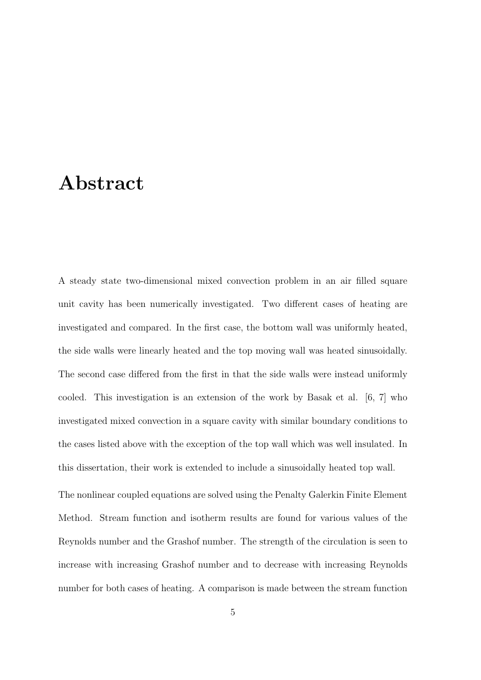## Abstract

A steady state two-dimensional mixed convection problem in an air filled square unit cavity has been numerically investigated. Two different cases of heating are investigated and compared. In the first case, the bottom wall was uniformly heated, the side walls were linearly heated and the top moving wall was heated sinusoidally. The second case differed from the first in that the side walls were instead uniformly cooled. This investigation is an extension of the work by Basak et al. [6, 7] who investigated mixed convection in a square cavity with similar boundary conditions to the cases listed above with the exception of the top wall which was well insulated. In this dissertation, their work is extended to include a sinusoidally heated top wall.

The nonlinear coupled equations are solved using the Penalty Galerkin Finite Element Method. Stream function and isotherm results are found for various values of the Reynolds number and the Grashof number. The strength of the circulation is seen to increase with increasing Grashof number and to decrease with increasing Reynolds number for both cases of heating. A comparison is made between the stream function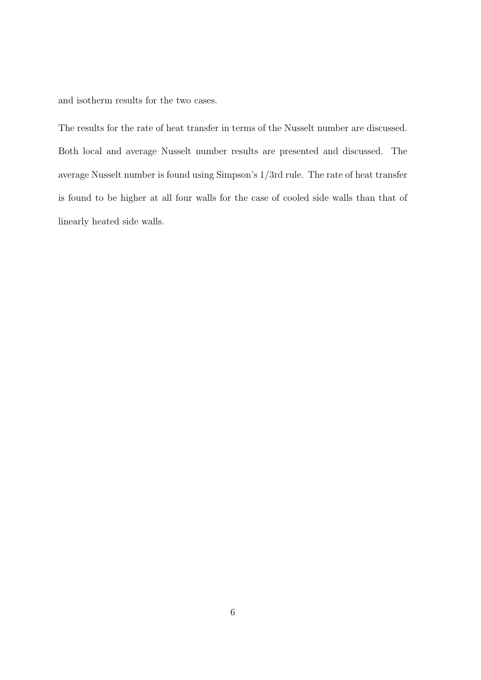and isotherm results for the two cases.

The results for the rate of heat transfer in terms of the Nusselt number are discussed. Both local and average Nusselt number results are presented and discussed. The average Nusselt number is found using Simpson's 1/3rd rule. The rate of heat transfer is found to be higher at all four walls for the case of cooled side walls than that of linearly heated side walls.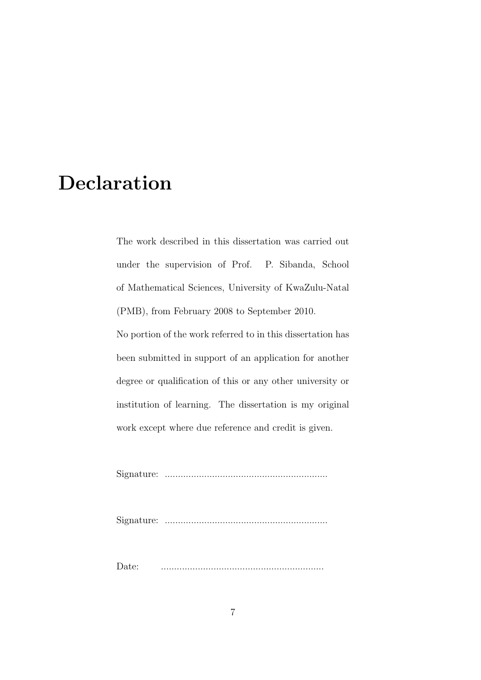## Declaration

The work described in this dissertation was carried out under the supervision of Prof. P. Sibanda, School of Mathematical Sciences, University of KwaZulu-Natal (PMB), from February 2008 to September 2010.

No portion of the work referred to in this dissertation has been submitted in support of an application for another degree or qualification of this or any other university or institution of learning. The dissertation is my original work except where due reference and credit is given.

Signature: ..............................................................

Signature: ..............................................................

Date: ..............................................................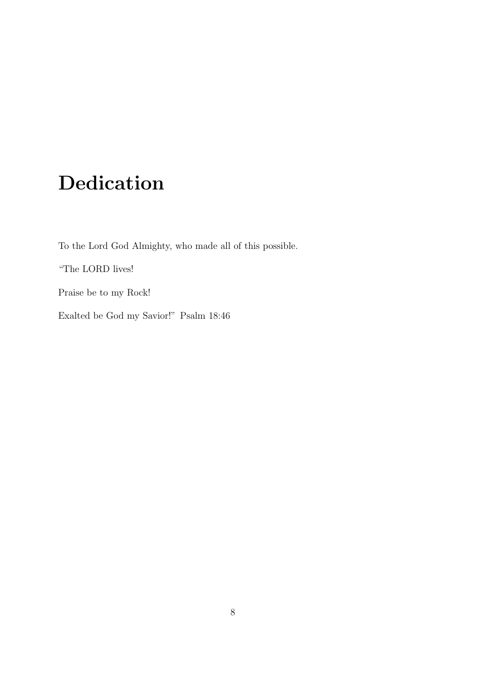# Dedication

To the Lord God Almighty, who made all of this possible.

"The LORD lives!

Praise be to my Rock!

Exalted be God my Savior!" Psalm 18:46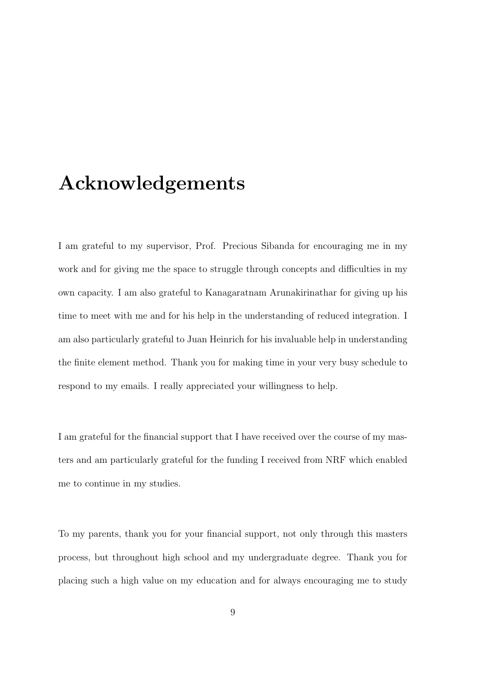## Acknowledgements

I am grateful to my supervisor, Prof. Precious Sibanda for encouraging me in my work and for giving me the space to struggle through concepts and difficulties in my own capacity. I am also grateful to Kanagaratnam Arunakirinathar for giving up his time to meet with me and for his help in the understanding of reduced integration. I am also particularly grateful to Juan Heinrich for his invaluable help in understanding the finite element method. Thank you for making time in your very busy schedule to respond to my emails. I really appreciated your willingness to help.

I am grateful for the financial support that I have received over the course of my masters and am particularly grateful for the funding I received from NRF which enabled me to continue in my studies.

To my parents, thank you for your financial support, not only through this masters process, but throughout high school and my undergraduate degree. Thank you for placing such a high value on my education and for always encouraging me to study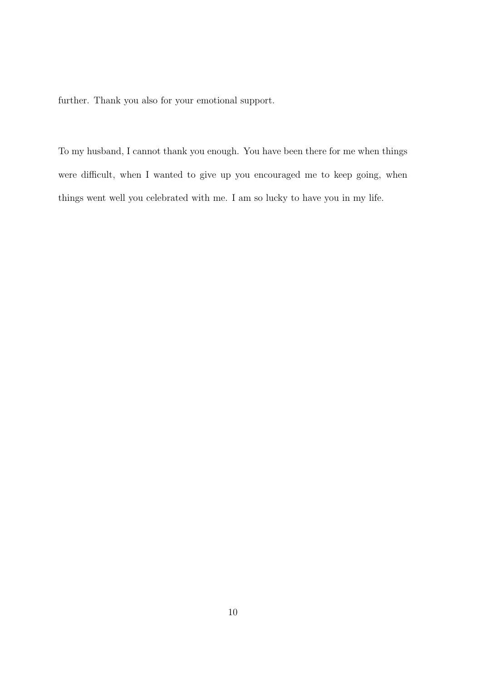further. Thank you also for your emotional support.

To my husband, I cannot thank you enough. You have been there for me when things were difficult, when I wanted to give up you encouraged me to keep going, when things went well you celebrated with me. I am so lucky to have you in my life.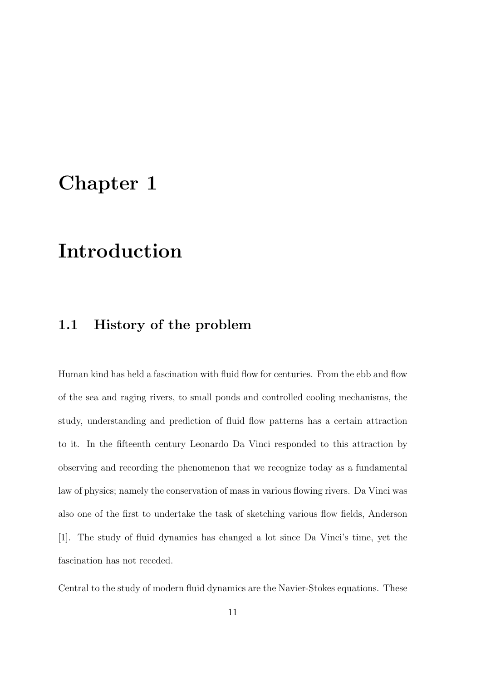## Chapter 1

## Introduction

### 1.1 History of the problem

Human kind has held a fascination with fluid flow for centuries. From the ebb and flow of the sea and raging rivers, to small ponds and controlled cooling mechanisms, the study, understanding and prediction of fluid flow patterns has a certain attraction to it. In the fifteenth century Leonardo Da Vinci responded to this attraction by observing and recording the phenomenon that we recognize today as a fundamental law of physics; namely the conservation of mass in various flowing rivers. Da Vinci was also one of the first to undertake the task of sketching various flow fields, Anderson [1]. The study of fluid dynamics has changed a lot since Da Vinci's time, yet the fascination has not receded.

Central to the study of modern fluid dynamics are the Navier-Stokes equations. These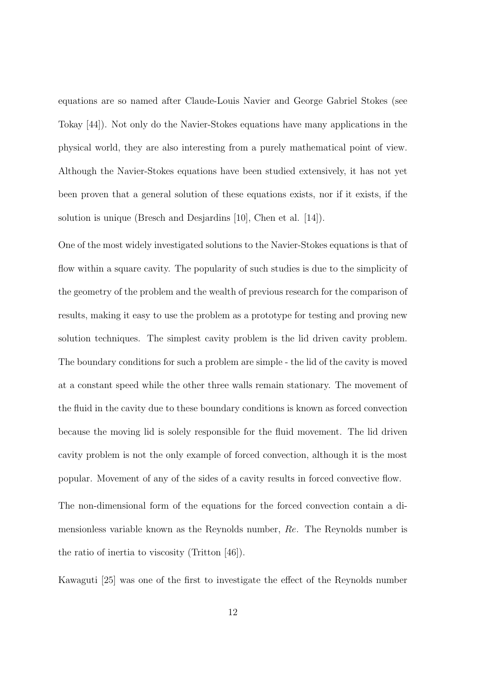equations are so named after Claude-Louis Navier and George Gabriel Stokes (see Tokay [44]). Not only do the Navier-Stokes equations have many applications in the physical world, they are also interesting from a purely mathematical point of view. Although the Navier-Stokes equations have been studied extensively, it has not yet been proven that a general solution of these equations exists, nor if it exists, if the solution is unique (Bresch and Desjardins [10], Chen et al. [14]).

One of the most widely investigated solutions to the Navier-Stokes equations is that of flow within a square cavity. The popularity of such studies is due to the simplicity of the geometry of the problem and the wealth of previous research for the comparison of results, making it easy to use the problem as a prototype for testing and proving new solution techniques. The simplest cavity problem is the lid driven cavity problem. The boundary conditions for such a problem are simple - the lid of the cavity is moved at a constant speed while the other three walls remain stationary. The movement of the fluid in the cavity due to these boundary conditions is known as forced convection because the moving lid is solely responsible for the fluid movement. The lid driven cavity problem is not the only example of forced convection, although it is the most popular. Movement of any of the sides of a cavity results in forced convective flow.

The non-dimensional form of the equations for the forced convection contain a dimensionless variable known as the Reynolds number, Re. The Reynolds number is the ratio of inertia to viscosity (Tritton [46]).

Kawaguti [25] was one of the first to investigate the effect of the Reynolds number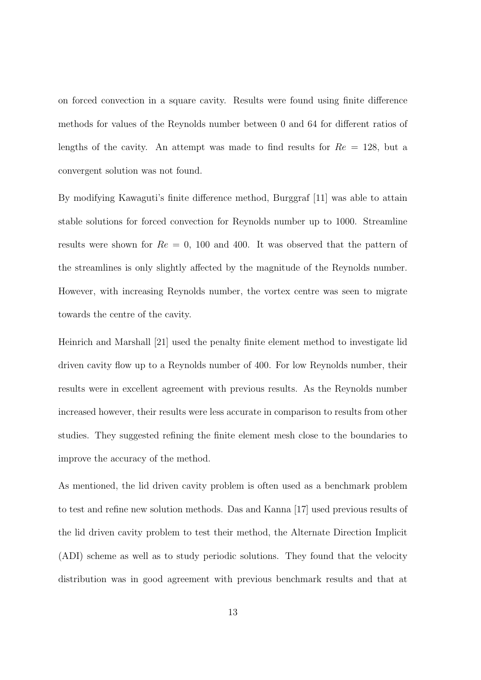on forced convection in a square cavity. Results were found using finite difference methods for values of the Reynolds number between 0 and 64 for different ratios of lengths of the cavity. An attempt was made to find results for  $Re = 128$ , but a convergent solution was not found.

By modifying Kawaguti's finite difference method, Burggraf [11] was able to attain stable solutions for forced convection for Reynolds number up to 1000. Streamline results were shown for  $Re = 0$ , 100 and 400. It was observed that the pattern of the streamlines is only slightly affected by the magnitude of the Reynolds number. However, with increasing Reynolds number, the vortex centre was seen to migrate towards the centre of the cavity.

Heinrich and Marshall [21] used the penalty finite element method to investigate lid driven cavity flow up to a Reynolds number of 400. For low Reynolds number, their results were in excellent agreement with previous results. As the Reynolds number increased however, their results were less accurate in comparison to results from other studies. They suggested refining the finite element mesh close to the boundaries to improve the accuracy of the method.

As mentioned, the lid driven cavity problem is often used as a benchmark problem to test and refine new solution methods. Das and Kanna [17] used previous results of the lid driven cavity problem to test their method, the Alternate Direction Implicit (ADI) scheme as well as to study periodic solutions. They found that the velocity distribution was in good agreement with previous benchmark results and that at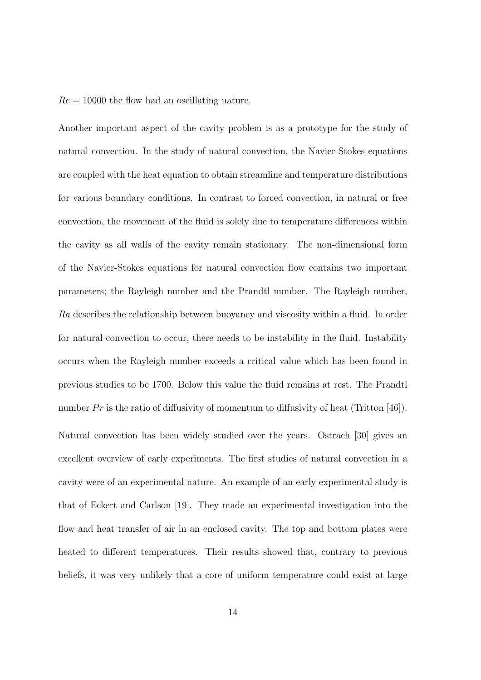$Re = 10000$  the flow had an oscillating nature.

Another important aspect of the cavity problem is as a prototype for the study of natural convection. In the study of natural convection, the Navier-Stokes equations are coupled with the heat equation to obtain streamline and temperature distributions for various boundary conditions. In contrast to forced convection, in natural or free convection, the movement of the fluid is solely due to temperature differences within the cavity as all walls of the cavity remain stationary. The non-dimensional form of the Navier-Stokes equations for natural convection flow contains two important parameters; the Rayleigh number and the Prandtl number. The Rayleigh number, Ra describes the relationship between buoyancy and viscosity within a fluid. In order for natural convection to occur, there needs to be instability in the fluid. Instability occurs when the Rayleigh number exceeds a critical value which has been found in previous studies to be 1700. Below this value the fluid remains at rest. The Prandtl number  $Pr$  is the ratio of diffusivity of momentum to diffusivity of heat (Tritton [46]). Natural convection has been widely studied over the years. Ostrach [30] gives an excellent overview of early experiments. The first studies of natural convection in a cavity were of an experimental nature. An example of an early experimental study is that of Eckert and Carlson [19]. They made an experimental investigation into the flow and heat transfer of air in an enclosed cavity. The top and bottom plates were heated to different temperatures. Their results showed that, contrary to previous beliefs, it was very unlikely that a core of uniform temperature could exist at large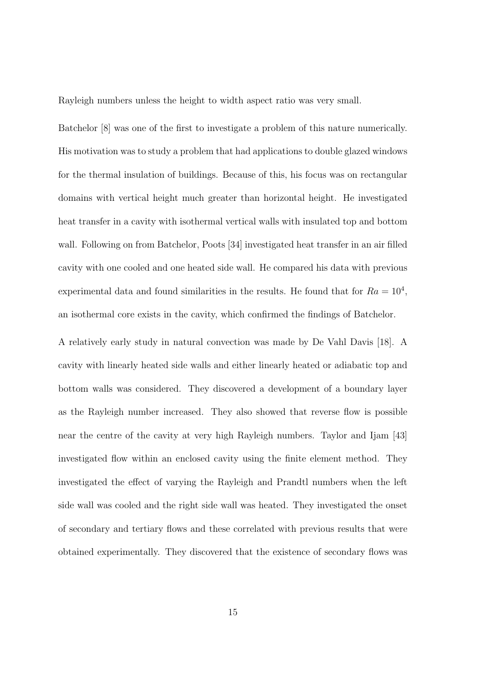Rayleigh numbers unless the height to width aspect ratio was very small.

Batchelor [8] was one of the first to investigate a problem of this nature numerically. His motivation was to study a problem that had applications to double glazed windows for the thermal insulation of buildings. Because of this, his focus was on rectangular domains with vertical height much greater than horizontal height. He investigated heat transfer in a cavity with isothermal vertical walls with insulated top and bottom wall. Following on from Batchelor, Poots [34] investigated heat transfer in an air filled cavity with one cooled and one heated side wall. He compared his data with previous experimental data and found similarities in the results. He found that for  $Ra = 10^4$ , an isothermal core exists in the cavity, which confirmed the findings of Batchelor.

A relatively early study in natural convection was made by De Vahl Davis [18]. A cavity with linearly heated side walls and either linearly heated or adiabatic top and bottom walls was considered. They discovered a development of a boundary layer as the Rayleigh number increased. They also showed that reverse flow is possible near the centre of the cavity at very high Rayleigh numbers. Taylor and Ijam [43] investigated flow within an enclosed cavity using the finite element method. They investigated the effect of varying the Rayleigh and Prandtl numbers when the left side wall was cooled and the right side wall was heated. They investigated the onset of secondary and tertiary flows and these correlated with previous results that were obtained experimentally. They discovered that the existence of secondary flows was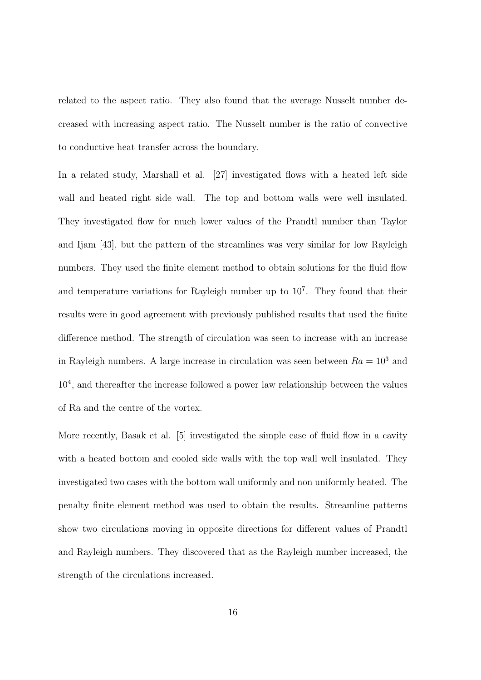related to the aspect ratio. They also found that the average Nusselt number decreased with increasing aspect ratio. The Nusselt number is the ratio of convective to conductive heat transfer across the boundary.

In a related study, Marshall et al. [27] investigated flows with a heated left side wall and heated right side wall. The top and bottom walls were well insulated. They investigated flow for much lower values of the Prandtl number than Taylor and Ijam [43], but the pattern of the streamlines was very similar for low Rayleigh numbers. They used the finite element method to obtain solutions for the fluid flow and temperature variations for Rayleigh number up to  $10^7$ . They found that their results were in good agreement with previously published results that used the finite difference method. The strength of circulation was seen to increase with an increase in Rayleigh numbers. A large increase in circulation was seen between  $Ra = 10^3$  and 10<sup>4</sup>, and thereafter the increase followed a power law relationship between the values of Ra and the centre of the vortex.

More recently, Basak et al. [5] investigated the simple case of fluid flow in a cavity with a heated bottom and cooled side walls with the top wall well insulated. They investigated two cases with the bottom wall uniformly and non uniformly heated. The penalty finite element method was used to obtain the results. Streamline patterns show two circulations moving in opposite directions for different values of Prandtl and Rayleigh numbers. They discovered that as the Rayleigh number increased, the strength of the circulations increased.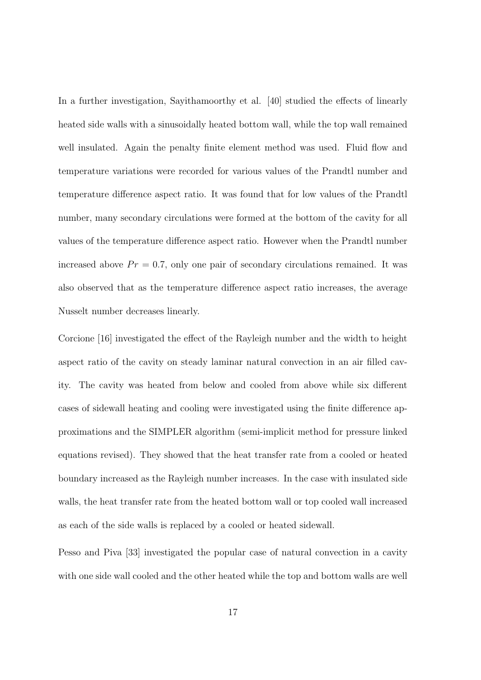In a further investigation, Sayithamoorthy et al. [40] studied the effects of linearly heated side walls with a sinusoidally heated bottom wall, while the top wall remained well insulated. Again the penalty finite element method was used. Fluid flow and temperature variations were recorded for various values of the Prandtl number and temperature difference aspect ratio. It was found that for low values of the Prandtl number, many secondary circulations were formed at the bottom of the cavity for all values of the temperature difference aspect ratio. However when the Prandtl number increased above  $Pr = 0.7$ , only one pair of secondary circulations remained. It was also observed that as the temperature difference aspect ratio increases, the average Nusselt number decreases linearly.

Corcione [16] investigated the effect of the Rayleigh number and the width to height aspect ratio of the cavity on steady laminar natural convection in an air filled cavity. The cavity was heated from below and cooled from above while six different cases of sidewall heating and cooling were investigated using the finite difference approximations and the SIMPLER algorithm (semi-implicit method for pressure linked equations revised). They showed that the heat transfer rate from a cooled or heated boundary increased as the Rayleigh number increases. In the case with insulated side walls, the heat transfer rate from the heated bottom wall or top cooled wall increased as each of the side walls is replaced by a cooled or heated sidewall.

Pesso and Piva [33] investigated the popular case of natural convection in a cavity with one side wall cooled and the other heated while the top and bottom walls are well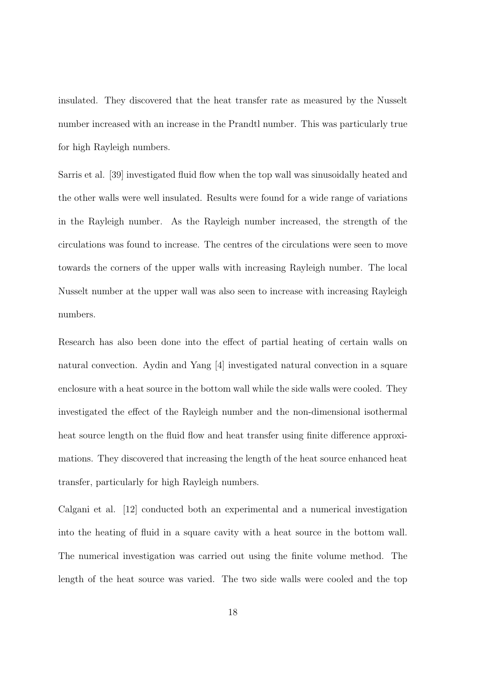insulated. They discovered that the heat transfer rate as measured by the Nusselt number increased with an increase in the Prandtl number. This was particularly true for high Rayleigh numbers.

Sarris et al. [39] investigated fluid flow when the top wall was sinusoidally heated and the other walls were well insulated. Results were found for a wide range of variations in the Rayleigh number. As the Rayleigh number increased, the strength of the circulations was found to increase. The centres of the circulations were seen to move towards the corners of the upper walls with increasing Rayleigh number. The local Nusselt number at the upper wall was also seen to increase with increasing Rayleigh numbers.

Research has also been done into the effect of partial heating of certain walls on natural convection. Aydin and Yang [4] investigated natural convection in a square enclosure with a heat source in the bottom wall while the side walls were cooled. They investigated the effect of the Rayleigh number and the non-dimensional isothermal heat source length on the fluid flow and heat transfer using finite difference approximations. They discovered that increasing the length of the heat source enhanced heat transfer, particularly for high Rayleigh numbers.

Calgani et al. [12] conducted both an experimental and a numerical investigation into the heating of fluid in a square cavity with a heat source in the bottom wall. The numerical investigation was carried out using the finite volume method. The length of the heat source was varied. The two side walls were cooled and the top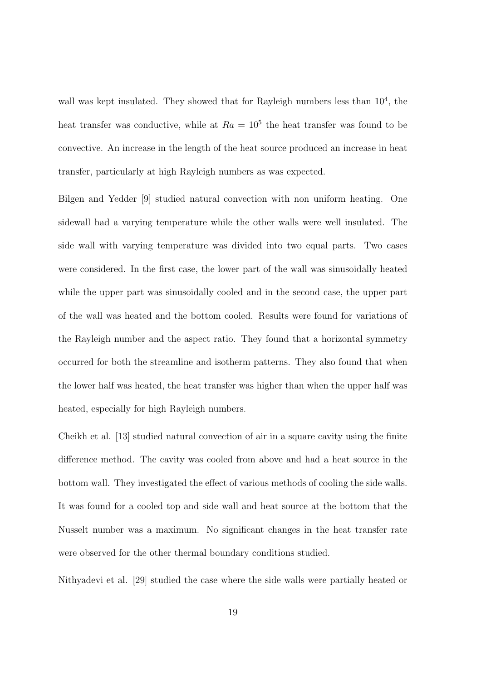wall was kept insulated. They showed that for Rayleigh numbers less than  $10^4$ , the heat transfer was conductive, while at  $Ra = 10<sup>5</sup>$  the heat transfer was found to be convective. An increase in the length of the heat source produced an increase in heat transfer, particularly at high Rayleigh numbers as was expected.

Bilgen and Yedder [9] studied natural convection with non uniform heating. One sidewall had a varying temperature while the other walls were well insulated. The side wall with varying temperature was divided into two equal parts. Two cases were considered. In the first case, the lower part of the wall was sinusoidally heated while the upper part was sinusoidally cooled and in the second case, the upper part of the wall was heated and the bottom cooled. Results were found for variations of the Rayleigh number and the aspect ratio. They found that a horizontal symmetry occurred for both the streamline and isotherm patterns. They also found that when the lower half was heated, the heat transfer was higher than when the upper half was heated, especially for high Rayleigh numbers.

Cheikh et al. [13] studied natural convection of air in a square cavity using the finite difference method. The cavity was cooled from above and had a heat source in the bottom wall. They investigated the effect of various methods of cooling the side walls. It was found for a cooled top and side wall and heat source at the bottom that the Nusselt number was a maximum. No significant changes in the heat transfer rate were observed for the other thermal boundary conditions studied.

Nithyadevi et al. [29] studied the case where the side walls were partially heated or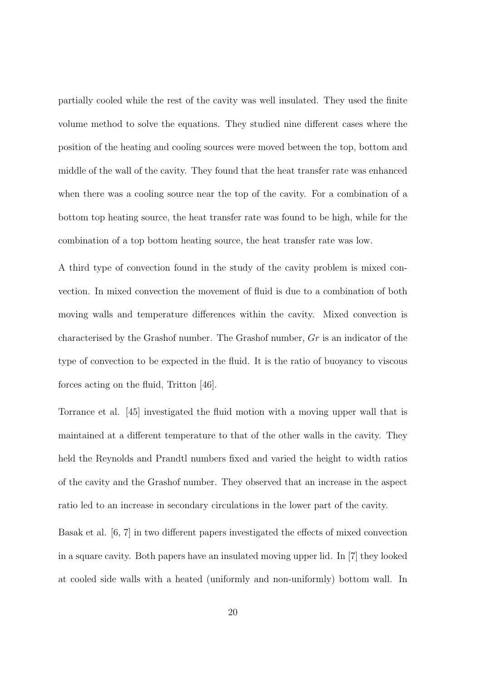partially cooled while the rest of the cavity was well insulated. They used the finite volume method to solve the equations. They studied nine different cases where the position of the heating and cooling sources were moved between the top, bottom and middle of the wall of the cavity. They found that the heat transfer rate was enhanced when there was a cooling source near the top of the cavity. For a combination of a bottom top heating source, the heat transfer rate was found to be high, while for the combination of a top bottom heating source, the heat transfer rate was low.

A third type of convection found in the study of the cavity problem is mixed convection. In mixed convection the movement of fluid is due to a combination of both moving walls and temperature differences within the cavity. Mixed convection is characterised by the Grashof number. The Grashof number, Gr is an indicator of the type of convection to be expected in the fluid. It is the ratio of buoyancy to viscous forces acting on the fluid, Tritton [46].

Torrance et al. [45] investigated the fluid motion with a moving upper wall that is maintained at a different temperature to that of the other walls in the cavity. They held the Reynolds and Prandtl numbers fixed and varied the height to width ratios of the cavity and the Grashof number. They observed that an increase in the aspect ratio led to an increase in secondary circulations in the lower part of the cavity.

Basak et al. [6, 7] in two different papers investigated the effects of mixed convection in a square cavity. Both papers have an insulated moving upper lid. In [7] they looked at cooled side walls with a heated (uniformly and non-uniformly) bottom wall. In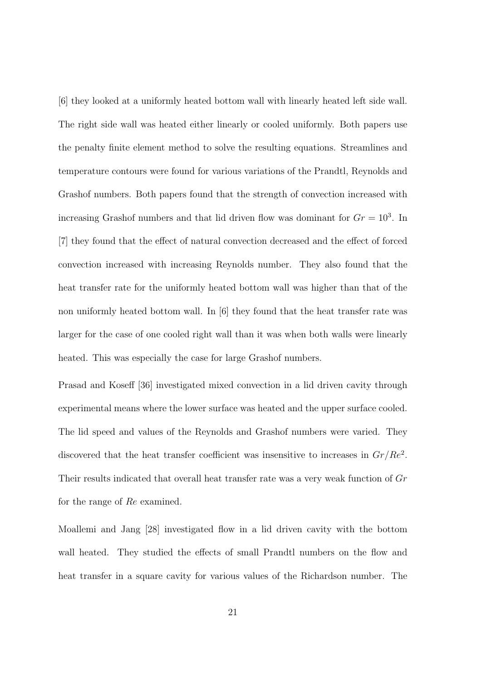[6] they looked at a uniformly heated bottom wall with linearly heated left side wall. The right side wall was heated either linearly or cooled uniformly. Both papers use the penalty finite element method to solve the resulting equations. Streamlines and temperature contours were found for various variations of the Prandtl, Reynolds and Grashof numbers. Both papers found that the strength of convection increased with increasing Grashof numbers and that lid driven flow was dominant for  $Gr = 10<sup>3</sup>$ . In [7] they found that the effect of natural convection decreased and the effect of forced convection increased with increasing Reynolds number. They also found that the heat transfer rate for the uniformly heated bottom wall was higher than that of the non uniformly heated bottom wall. In [6] they found that the heat transfer rate was larger for the case of one cooled right wall than it was when both walls were linearly heated. This was especially the case for large Grashof numbers.

Prasad and Koseff [36] investigated mixed convection in a lid driven cavity through experimental means where the lower surface was heated and the upper surface cooled. The lid speed and values of the Reynolds and Grashof numbers were varied. They discovered that the heat transfer coefficient was insensitive to increases in  $Gr/Re^2$ . Their results indicated that overall heat transfer rate was a very weak function of Gr for the range of Re examined.

Moallemi and Jang [28] investigated flow in a lid driven cavity with the bottom wall heated. They studied the effects of small Prandtl numbers on the flow and heat transfer in a square cavity for various values of the Richardson number. The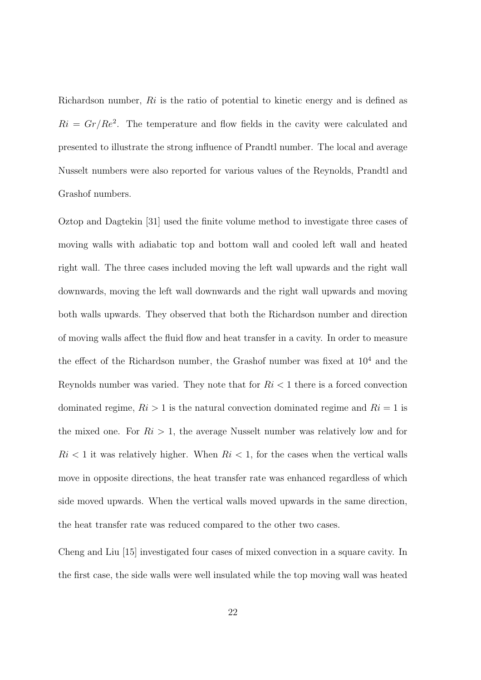Richardson number, Ri is the ratio of potential to kinetic energy and is defined as  $Ri = Gr/Re<sup>2</sup>$ . The temperature and flow fields in the cavity were calculated and presented to illustrate the strong influence of Prandtl number. The local and average Nusselt numbers were also reported for various values of the Reynolds, Prandtl and Grashof numbers.

Oztop and Dagtekin [31] used the finite volume method to investigate three cases of moving walls with adiabatic top and bottom wall and cooled left wall and heated right wall. The three cases included moving the left wall upwards and the right wall downwards, moving the left wall downwards and the right wall upwards and moving both walls upwards. They observed that both the Richardson number and direction of moving walls affect the fluid flow and heat transfer in a cavity. In order to measure the effect of the Richardson number, the Grashof number was fixed at  $10<sup>4</sup>$  and the Reynolds number was varied. They note that for  $Ri < 1$  there is a forced convection dominated regime,  $R_i > 1$  is the natural convection dominated regime and  $R_i = 1$  is the mixed one. For  $R_i > 1$ , the average Nusselt number was relatively low and for  $Ri < 1$  it was relatively higher. When  $Ri < 1$ , for the cases when the vertical walls move in opposite directions, the heat transfer rate was enhanced regardless of which side moved upwards. When the vertical walls moved upwards in the same direction, the heat transfer rate was reduced compared to the other two cases.

Cheng and Liu [15] investigated four cases of mixed convection in a square cavity. In the first case, the side walls were well insulated while the top moving wall was heated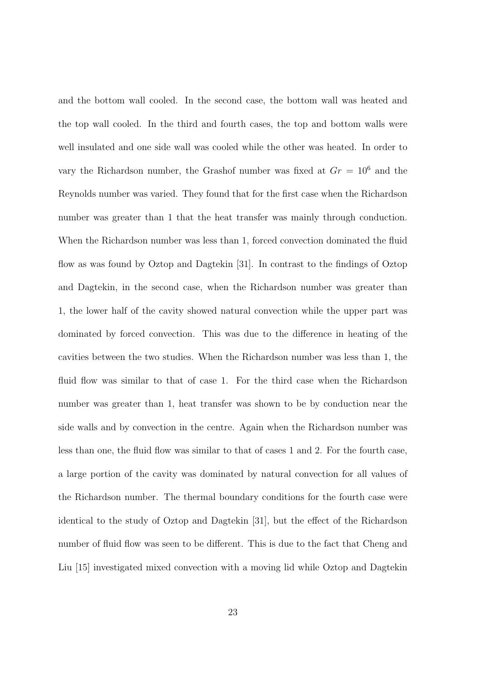and the bottom wall cooled. In the second case, the bottom wall was heated and the top wall cooled. In the third and fourth cases, the top and bottom walls were well insulated and one side wall was cooled while the other was heated. In order to vary the Richardson number, the Grashof number was fixed at  $Gr = 10^6$  and the Reynolds number was varied. They found that for the first case when the Richardson number was greater than 1 that the heat transfer was mainly through conduction. When the Richardson number was less than 1, forced convection dominated the fluid flow as was found by Oztop and Dagtekin [31]. In contrast to the findings of Oztop and Dagtekin, in the second case, when the Richardson number was greater than 1, the lower half of the cavity showed natural convection while the upper part was dominated by forced convection. This was due to the difference in heating of the cavities between the two studies. When the Richardson number was less than 1, the fluid flow was similar to that of case 1. For the third case when the Richardson number was greater than 1, heat transfer was shown to be by conduction near the side walls and by convection in the centre. Again when the Richardson number was less than one, the fluid flow was similar to that of cases 1 and 2. For the fourth case, a large portion of the cavity was dominated by natural convection for all values of the Richardson number. The thermal boundary conditions for the fourth case were identical to the study of Oztop and Dagtekin [31], but the effect of the Richardson number of fluid flow was seen to be different. This is due to the fact that Cheng and Liu [15] investigated mixed convection with a moving lid while Oztop and Dagtekin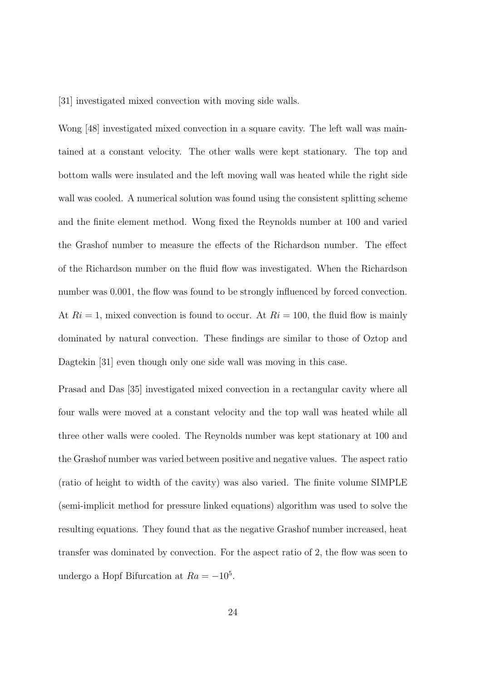[31] investigated mixed convection with moving side walls.

Wong [48] investigated mixed convection in a square cavity. The left wall was maintained at a constant velocity. The other walls were kept stationary. The top and bottom walls were insulated and the left moving wall was heated while the right side wall was cooled. A numerical solution was found using the consistent splitting scheme and the finite element method. Wong fixed the Reynolds number at 100 and varied the Grashof number to measure the effects of the Richardson number. The effect of the Richardson number on the fluid flow was investigated. When the Richardson number was 0.001, the flow was found to be strongly influenced by forced convection. At  $Ri = 1$ , mixed convection is found to occur. At  $Ri = 100$ , the fluid flow is mainly dominated by natural convection. These findings are similar to those of Oztop and Dagtekin [31] even though only one side wall was moving in this case.

Prasad and Das [35] investigated mixed convection in a rectangular cavity where all four walls were moved at a constant velocity and the top wall was heated while all three other walls were cooled. The Reynolds number was kept stationary at 100 and the Grashof number was varied between positive and negative values. The aspect ratio (ratio of height to width of the cavity) was also varied. The finite volume SIMPLE (semi-implicit method for pressure linked equations) algorithm was used to solve the resulting equations. They found that as the negative Grashof number increased, heat transfer was dominated by convection. For the aspect ratio of 2, the flow was seen to undergo a Hopf Bifurcation at  $Ra = -10<sup>5</sup>$ .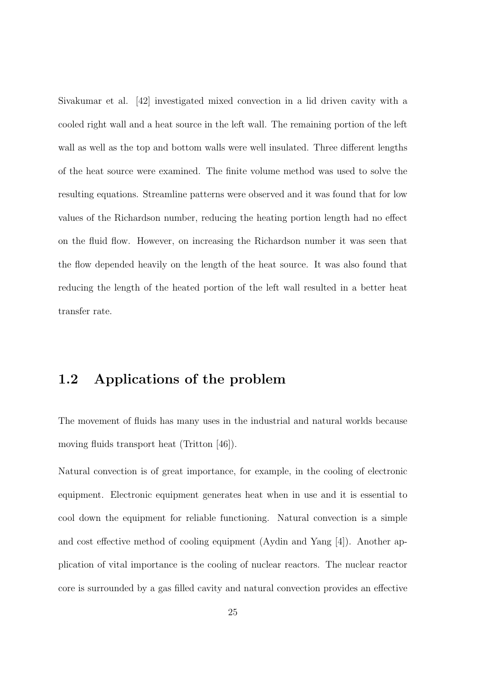Sivakumar et al. [42] investigated mixed convection in a lid driven cavity with a cooled right wall and a heat source in the left wall. The remaining portion of the left wall as well as the top and bottom walls were well insulated. Three different lengths of the heat source were examined. The finite volume method was used to solve the resulting equations. Streamline patterns were observed and it was found that for low values of the Richardson number, reducing the heating portion length had no effect on the fluid flow. However, on increasing the Richardson number it was seen that the flow depended heavily on the length of the heat source. It was also found that reducing the length of the heated portion of the left wall resulted in a better heat transfer rate.

## 1.2 Applications of the problem

The movement of fluids has many uses in the industrial and natural worlds because moving fluids transport heat (Tritton [46]).

Natural convection is of great importance, for example, in the cooling of electronic equipment. Electronic equipment generates heat when in use and it is essential to cool down the equipment for reliable functioning. Natural convection is a simple and cost effective method of cooling equipment (Aydin and Yang [4]). Another application of vital importance is the cooling of nuclear reactors. The nuclear reactor core is surrounded by a gas filled cavity and natural convection provides an effective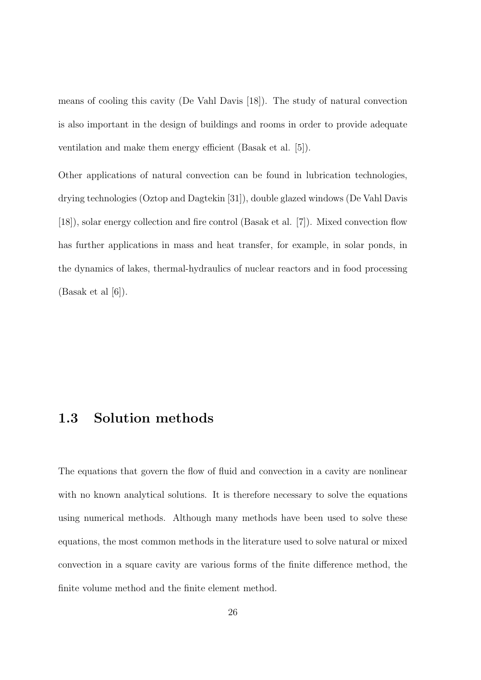means of cooling this cavity (De Vahl Davis [18]). The study of natural convection is also important in the design of buildings and rooms in order to provide adequate ventilation and make them energy efficient (Basak et al. [5]).

Other applications of natural convection can be found in lubrication technologies, drying technologies (Oztop and Dagtekin [31]), double glazed windows (De Vahl Davis [18]), solar energy collection and fire control (Basak et al. [7]). Mixed convection flow has further applications in mass and heat transfer, for example, in solar ponds, in the dynamics of lakes, thermal-hydraulics of nuclear reactors and in food processing  $(Basak et al [6]).$ 

#### 1.3 Solution methods

The equations that govern the flow of fluid and convection in a cavity are nonlinear with no known analytical solutions. It is therefore necessary to solve the equations using numerical methods. Although many methods have been used to solve these equations, the most common methods in the literature used to solve natural or mixed convection in a square cavity are various forms of the finite difference method, the finite volume method and the finite element method.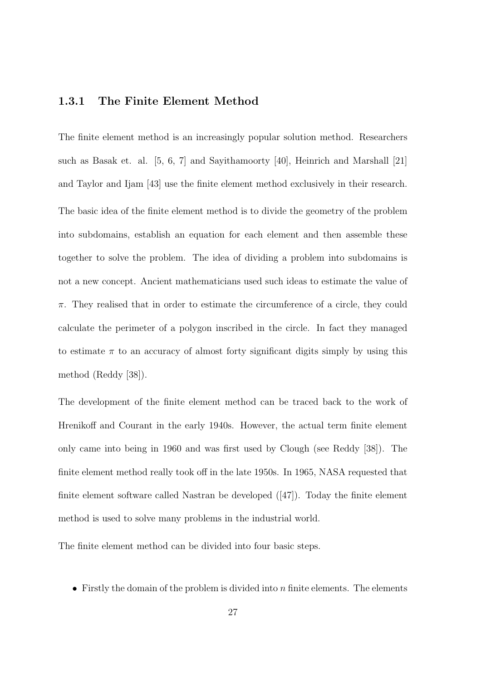#### 1.3.1 The Finite Element Method

The finite element method is an increasingly popular solution method. Researchers such as Basak et. al. [5, 6, 7] and Sayithamoorty [40], Heinrich and Marshall [21] and Taylor and Ijam [43] use the finite element method exclusively in their research. The basic idea of the finite element method is to divide the geometry of the problem into subdomains, establish an equation for each element and then assemble these together to solve the problem. The idea of dividing a problem into subdomains is not a new concept. Ancient mathematicians used such ideas to estimate the value of  $\pi$ . They realised that in order to estimate the circumference of a circle, they could calculate the perimeter of a polygon inscribed in the circle. In fact they managed to estimate  $\pi$  to an accuracy of almost forty significant digits simply by using this method (Reddy [38]).

The development of the finite element method can be traced back to the work of Hrenikoff and Courant in the early 1940s. However, the actual term finite element only came into being in 1960 and was first used by Clough (see Reddy [38]). The finite element method really took off in the late 1950s. In 1965, NASA requested that finite element software called Nastran be developed  $([47])$ . Today the finite element method is used to solve many problems in the industrial world.

The finite element method can be divided into four basic steps.

• Firstly the domain of the problem is divided into  $n$  finite elements. The elements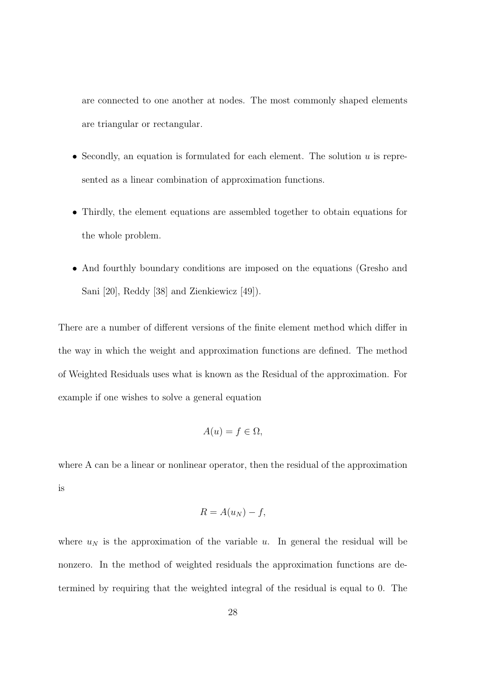are connected to one another at nodes. The most commonly shaped elements are triangular or rectangular.

- Secondly, an equation is formulated for each element. The solution  $u$  is represented as a linear combination of approximation functions.
- Thirdly, the element equations are assembled together to obtain equations for the whole problem.
- And fourthly boundary conditions are imposed on the equations (Gresho and Sani [20], Reddy [38] and Zienkiewicz [49]).

There are a number of different versions of the finite element method which differ in the way in which the weight and approximation functions are defined. The method of Weighted Residuals uses what is known as the Residual of the approximation. For example if one wishes to solve a general equation

$$
A(u) = f \in \Omega,
$$

where A can be a linear or nonlinear operator, then the residual of the approximation is

$$
R = A(u_N) - f,
$$

where  $u_N$  is the approximation of the variable u. In general the residual will be nonzero. In the method of weighted residuals the approximation functions are determined by requiring that the weighted integral of the residual is equal to 0. The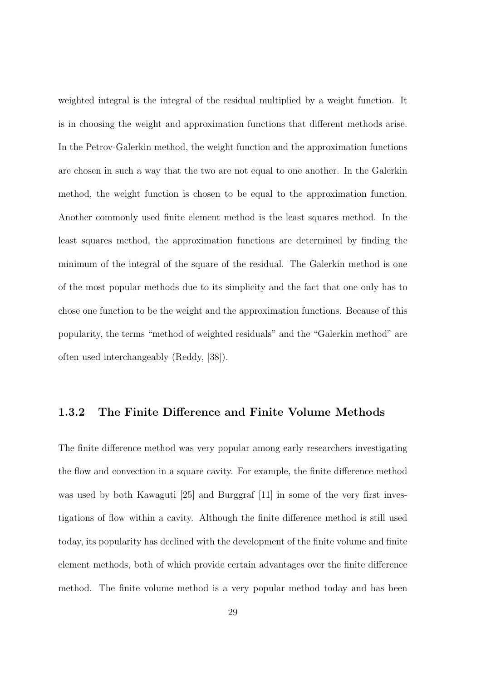weighted integral is the integral of the residual multiplied by a weight function. It is in choosing the weight and approximation functions that different methods arise. In the Petrov-Galerkin method, the weight function and the approximation functions are chosen in such a way that the two are not equal to one another. In the Galerkin method, the weight function is chosen to be equal to the approximation function. Another commonly used finite element method is the least squares method. In the least squares method, the approximation functions are determined by finding the minimum of the integral of the square of the residual. The Galerkin method is one of the most popular methods due to its simplicity and the fact that one only has to chose one function to be the weight and the approximation functions. Because of this popularity, the terms "method of weighted residuals" and the "Galerkin method" are often used interchangeably (Reddy, [38]).

#### 1.3.2 The Finite Difference and Finite Volume Methods

The finite difference method was very popular among early researchers investigating the flow and convection in a square cavity. For example, the finite difference method was used by both Kawaguti [25] and Burggraf [11] in some of the very first investigations of flow within a cavity. Although the finite difference method is still used today, its popularity has declined with the development of the finite volume and finite element methods, both of which provide certain advantages over the finite difference method. The finite volume method is a very popular method today and has been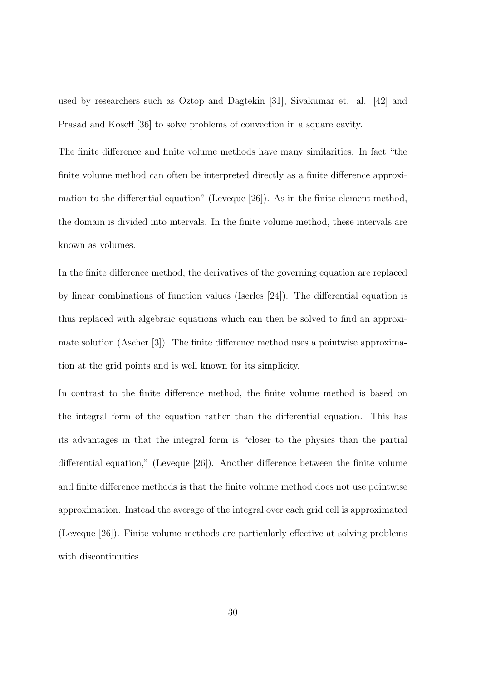used by researchers such as Oztop and Dagtekin [31], Sivakumar et. al. [42] and Prasad and Koseff [36] to solve problems of convection in a square cavity.

The finite difference and finite volume methods have many similarities. In fact "the finite volume method can often be interpreted directly as a finite difference approximation to the differential equation" (Leveque [26]). As in the finite element method, the domain is divided into intervals. In the finite volume method, these intervals are known as volumes.

In the finite difference method, the derivatives of the governing equation are replaced by linear combinations of function values (Iserles [24]). The differential equation is thus replaced with algebraic equations which can then be solved to find an approximate solution (Ascher [3]). The finite difference method uses a pointwise approximation at the grid points and is well known for its simplicity.

In contrast to the finite difference method, the finite volume method is based on the integral form of the equation rather than the differential equation. This has its advantages in that the integral form is "closer to the physics than the partial differential equation," (Leveque [26]). Another difference between the finite volume and finite difference methods is that the finite volume method does not use pointwise approximation. Instead the average of the integral over each grid cell is approximated (Leveque [26]). Finite volume methods are particularly effective at solving problems with discontinuities.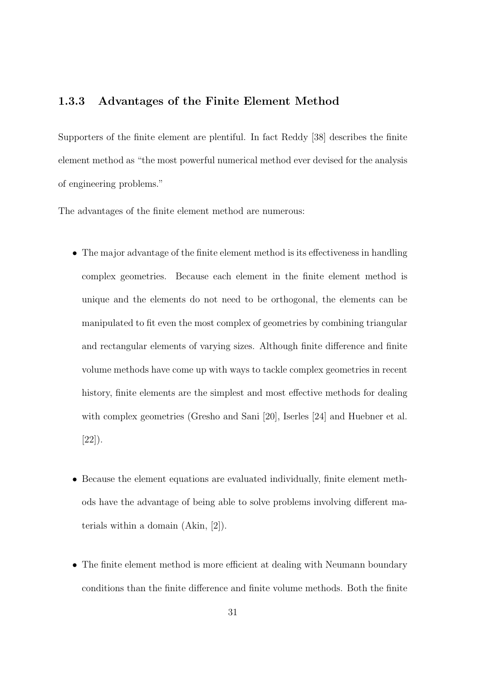#### 1.3.3 Advantages of the Finite Element Method

Supporters of the finite element are plentiful. In fact Reddy [38] describes the finite element method as "the most powerful numerical method ever devised for the analysis of engineering problems."

The advantages of the finite element method are numerous:

- The major advantage of the finite element method is its effectiveness in handling complex geometries. Because each element in the finite element method is unique and the elements do not need to be orthogonal, the elements can be manipulated to fit even the most complex of geometries by combining triangular and rectangular elements of varying sizes. Although finite difference and finite volume methods have come up with ways to tackle complex geometries in recent history, finite elements are the simplest and most effective methods for dealing with complex geometries (Gresho and Sani [20], Iserles [24] and Huebner et al. [22]).
- Because the element equations are evaluated individually, finite element methods have the advantage of being able to solve problems involving different materials within a domain (Akin, [2]).
- The finite element method is more efficient at dealing with Neumann boundary conditions than the finite difference and finite volume methods. Both the finite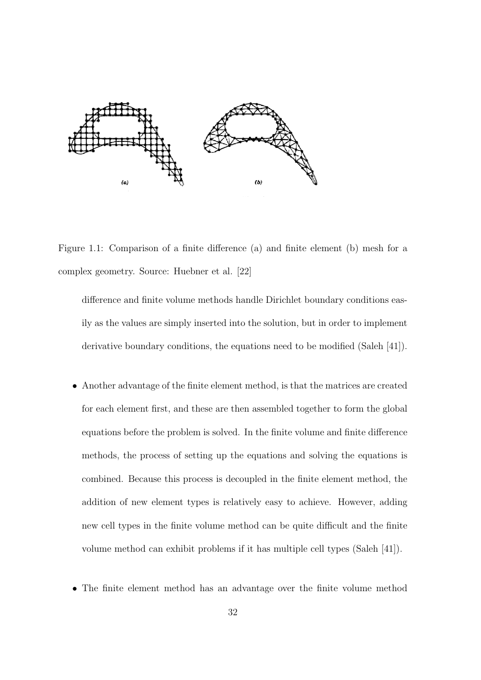

Figure 1.1: Comparison of a finite difference (a) and finite element (b) mesh for a complex geometry. Source: Huebner et al. [22]

difference and finite volume methods handle Dirichlet boundary conditions easily as the values are simply inserted into the solution, but in order to implement derivative boundary conditions, the equations need to be modified (Saleh [41]).

- Another advantage of the finite element method, is that the matrices are created for each element first, and these are then assembled together to form the global equations before the problem is solved. In the finite volume and finite difference methods, the process of setting up the equations and solving the equations is combined. Because this process is decoupled in the finite element method, the addition of new element types is relatively easy to achieve. However, adding new cell types in the finite volume method can be quite difficult and the finite volume method can exhibit problems if it has multiple cell types (Saleh [41]).
- The finite element method has an advantage over the finite volume method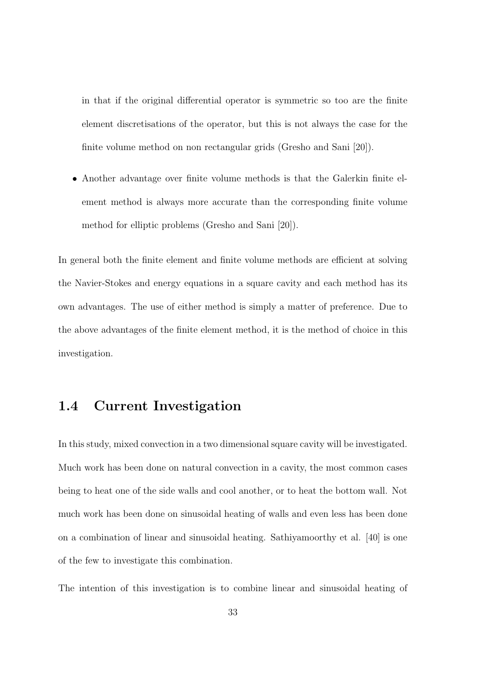in that if the original differential operator is symmetric so too are the finite element discretisations of the operator, but this is not always the case for the finite volume method on non rectangular grids (Gresho and Sani [20]).

• Another advantage over finite volume methods is that the Galerkin finite element method is always more accurate than the corresponding finite volume method for elliptic problems (Gresho and Sani [20]).

In general both the finite element and finite volume methods are efficient at solving the Navier-Stokes and energy equations in a square cavity and each method has its own advantages. The use of either method is simply a matter of preference. Due to the above advantages of the finite element method, it is the method of choice in this investigation.

### 1.4 Current Investigation

In this study, mixed convection in a two dimensional square cavity will be investigated. Much work has been done on natural convection in a cavity, the most common cases being to heat one of the side walls and cool another, or to heat the bottom wall. Not much work has been done on sinusoidal heating of walls and even less has been done on a combination of linear and sinusoidal heating. Sathiyamoorthy et al. [40] is one of the few to investigate this combination.

The intention of this investigation is to combine linear and sinusoidal heating of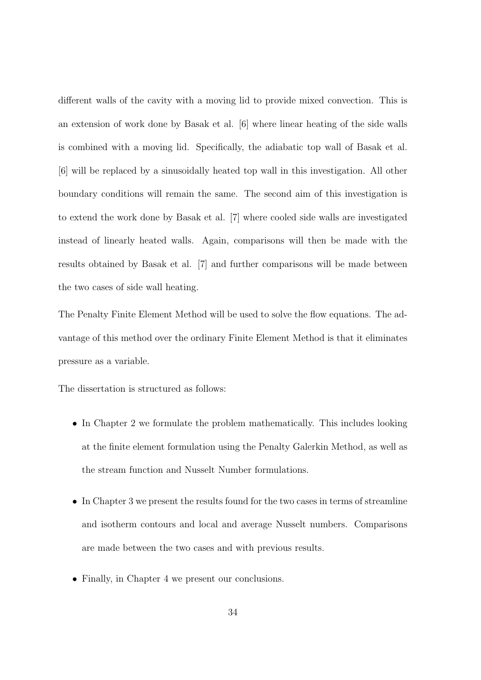different walls of the cavity with a moving lid to provide mixed convection. This is an extension of work done by Basak et al. [6] where linear heating of the side walls is combined with a moving lid. Specifically, the adiabatic top wall of Basak et al. [6] will be replaced by a sinusoidally heated top wall in this investigation. All other boundary conditions will remain the same. The second aim of this investigation is to extend the work done by Basak et al. [7] where cooled side walls are investigated instead of linearly heated walls. Again, comparisons will then be made with the results obtained by Basak et al. [7] and further comparisons will be made between the two cases of side wall heating.

The Penalty Finite Element Method will be used to solve the flow equations. The advantage of this method over the ordinary Finite Element Method is that it eliminates pressure as a variable.

The dissertation is structured as follows:

- In Chapter 2 we formulate the problem mathematically. This includes looking at the finite element formulation using the Penalty Galerkin Method, as well as the stream function and Nusselt Number formulations.
- In Chapter 3 we present the results found for the two cases in terms of streamline and isotherm contours and local and average Nusselt numbers. Comparisons are made between the two cases and with previous results.
- Finally, in Chapter 4 we present our conclusions.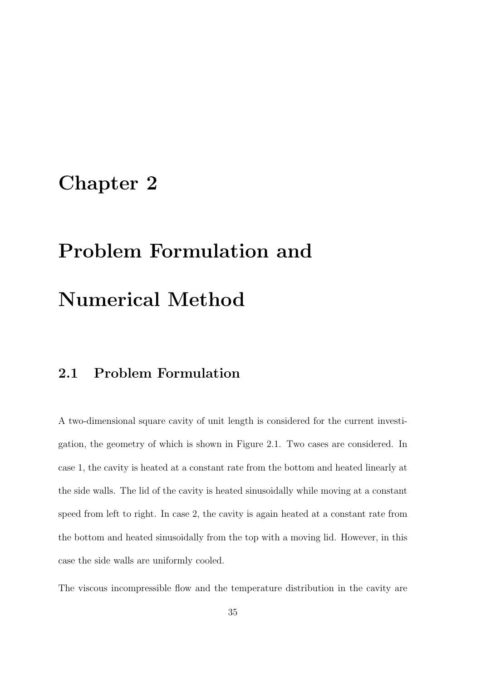## Chapter 2

# Problem Formulation and Numerical Method

## 2.1 Problem Formulation

A two-dimensional square cavity of unit length is considered for the current investigation, the geometry of which is shown in Figure 2.1. Two cases are considered. In case 1, the cavity is heated at a constant rate from the bottom and heated linearly at the side walls. The lid of the cavity is heated sinusoidally while moving at a constant speed from left to right. In case 2, the cavity is again heated at a constant rate from the bottom and heated sinusoidally from the top with a moving lid. However, in this case the side walls are uniformly cooled.

The viscous incompressible flow and the temperature distribution in the cavity are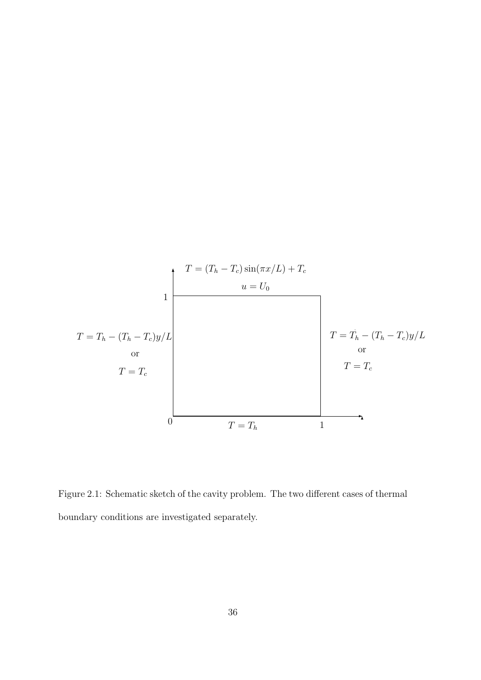

Figure 2.1: Schematic sketch of the cavity problem. The two different cases of thermal boundary conditions are investigated separately.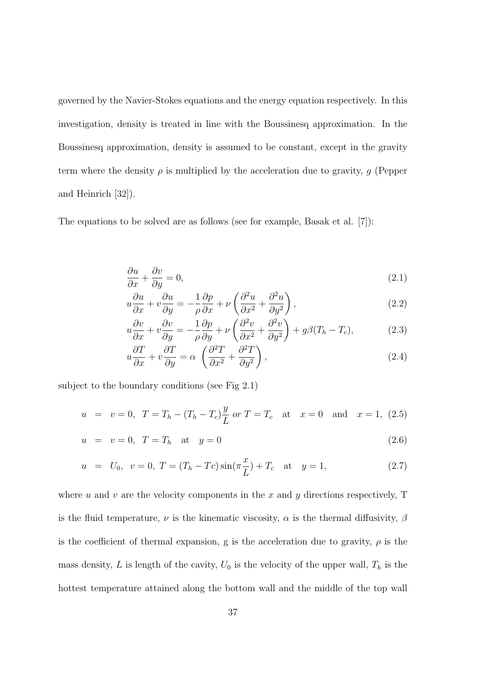governed by the Navier-Stokes equations and the energy equation respectively. In this investigation, density is treated in line with the Boussinesq approximation. In the Boussinesq approximation, density is assumed to be constant, except in the gravity term where the density  $\rho$  is multiplied by the acceleration due to gravity, g (Pepper and Heinrich [32]).

The equations to be solved are as follows (see for example, Basak et al. [7]):

$$
\frac{\partial u}{\partial x} + \frac{\partial v}{\partial y} = 0,\tag{2.1}
$$

$$
u\frac{\partial u}{\partial x} + v\frac{\partial u}{\partial y} = -\frac{1}{\rho}\frac{\partial p}{\partial x} + \nu \left(\frac{\partial^2 u}{\partial x^2} + \frac{\partial^2 u}{\partial y^2}\right),\tag{2.2}
$$

$$
u\frac{\partial v}{\partial x} + v\frac{\partial v}{\partial y} = -\frac{1}{\rho}\frac{\partial p}{\partial y} + \nu\left(\frac{\partial^2 v}{\partial x^2} + \frac{\partial^2 v}{\partial y^2}\right) + g\beta(T_h - T_c),\tag{2.3}
$$

$$
u\frac{\partial T}{\partial x} + v\frac{\partial T}{\partial y} = \alpha \left(\frac{\partial^2 T}{\partial x^2} + \frac{\partial^2 T}{\partial y^2}\right),\tag{2.4}
$$

subject to the boundary conditions (see Fig 2.1)

$$
u = v = 0
$$
,  $T = T_h - (T_h - T_c) \frac{y}{L}$  or  $T = T_c$  at  $x = 0$  and  $x = 1$ , (2.5)

$$
u = v = 0, T = T_h \text{ at } y = 0
$$
\n(2.6)

$$
u = U_0, \ v = 0, \ T = (T_h - T_c)\sin(\pi \frac{x}{L}) + T_c \text{ at } y = 1,
$$
\n(2.7)

where u and v are the velocity components in the x and y directions respectively,  $T$ is the fluid temperature,  $\nu$  is the kinematic viscosity,  $\alpha$  is the thermal diffusivity,  $\beta$ is the coefficient of thermal expansion, g is the acceleration due to gravity,  $\rho$  is the mass density, L is length of the cavity,  $U_0$  is the velocity of the upper wall,  $T_h$  is the hottest temperature attained along the bottom wall and the middle of the top wall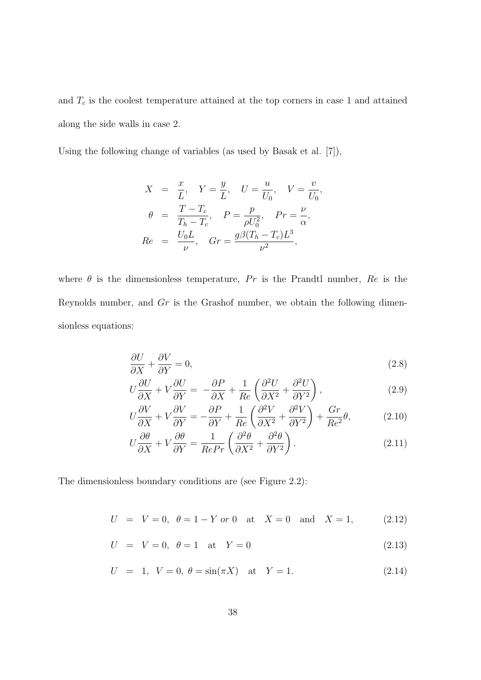and  $T_c$  is the coolest temperature attained at the top corners in case 1 and attained along the side walls in case 2.

Using the following change of variables (as used by Basak et al. [7]),

$$
X = \frac{x}{L}, Y = \frac{y}{L}, U = \frac{u}{U_0}, V = \frac{v}{U_0},
$$
  
\n
$$
\theta = \frac{T - T_c}{T_h - T_c}, P = \frac{p}{\rho U_0^2}, Pr = \frac{\nu}{\alpha},
$$
  
\n
$$
Re = \frac{U_0 L}{\nu}, Gr = \frac{g\beta(T_h - T_c)L^3}{\nu^2},
$$

where  $\theta$  is the dimensionless temperature, Pr is the Prandtl number, Re is the Reynolds number, and Gr is the Grashof number, we obtain the following dimensionless equations:

$$
\frac{\partial U}{\partial X} + \frac{\partial V}{\partial Y} = 0,\tag{2.8}
$$

$$
U\frac{\partial U}{\partial X} + V\frac{\partial U}{\partial Y} = -\frac{\partial P}{\partial X} + \frac{1}{Re} \left( \frac{\partial^2 U}{\partial X^2} + \frac{\partial^2 U}{\partial Y^2} \right),\tag{2.9}
$$

$$
U\frac{\partial V}{\partial X} + V\frac{\partial V}{\partial Y} = -\frac{\partial P}{\partial Y} + \frac{1}{Re} \left( \frac{\partial^2 V}{\partial X^2} + \frac{\partial^2 V}{\partial Y^2} \right) + \frac{Gr}{Re^2} \theta,
$$
 (2.10)

$$
U\frac{\partial\theta}{\partial X} + V\frac{\partial\theta}{\partial Y} = \frac{1}{RePr} \left( \frac{\partial^2\theta}{\partial X^2} + \frac{\partial^2\theta}{\partial Y^2} \right).
$$
 (2.11)

The dimensionless boundary conditions are (see Figure 2.2):

 $U = V = 0, \theta = 1 - Y \text{ or } 0 \text{ at } X = 0 \text{ and } X = 1,$  (2.12)

$$
U = V = 0, \ \theta = 1 \quad \text{at} \quad Y = 0 \tag{2.13}
$$

$$
U = 1, V = 0, \theta = \sin(\pi X) \text{ at } Y = 1.
$$
 (2.14)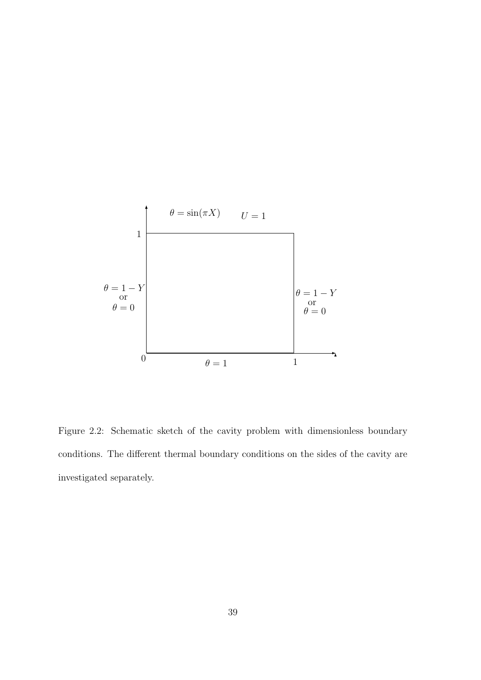

Figure 2.2: Schematic sketch of the cavity problem with dimensionless boundary conditions. The different thermal boundary conditions on the sides of the cavity are investigated separately.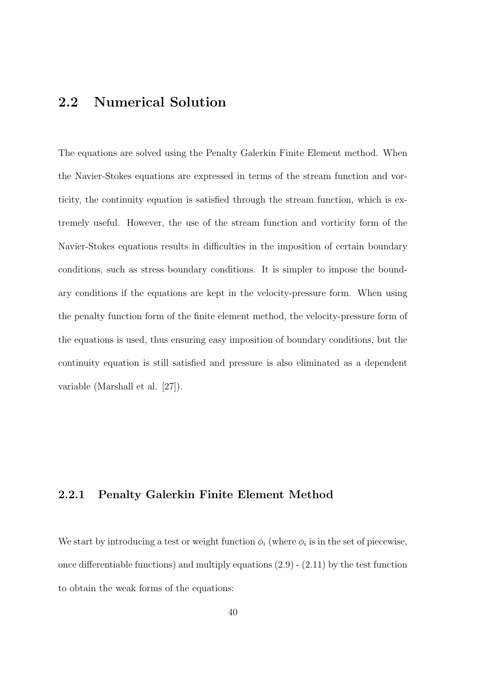## 2.2 Numerical Solution

The equations are solved using the Penalty Galerkin Finite Element method. When the Navier-Stokes equations are expressed in terms of the stream function and vorticity, the continuity equation is satisfied through the stream function, which is extremely useful. However, the use of the stream function and vorticity form of the Navier-Stokes equations results in difficulties in the imposition of certain boundary conditions, such as stress boundary conditions. It is simpler to impose the boundary conditions if the equations are kept in the velocity-pressure form. When using the penalty function form of the finite element method, the velocity-pressure form of the equations is used, thus ensuring easy imposition of boundary conditions, but the continuity equation is still satisfied and pressure is also eliminated as a dependent variable (Marshall et al. [27]).

#### 2.2.1 Penalty Galerkin Finite Element Method

We start by introducing a test or weight function  $\phi_i$  (where  $\phi_i$  is in the set of piecewise, once differentiable functions) and multiply equations (2.9) - (2.11) by the test function to obtain the weak forms of the equations: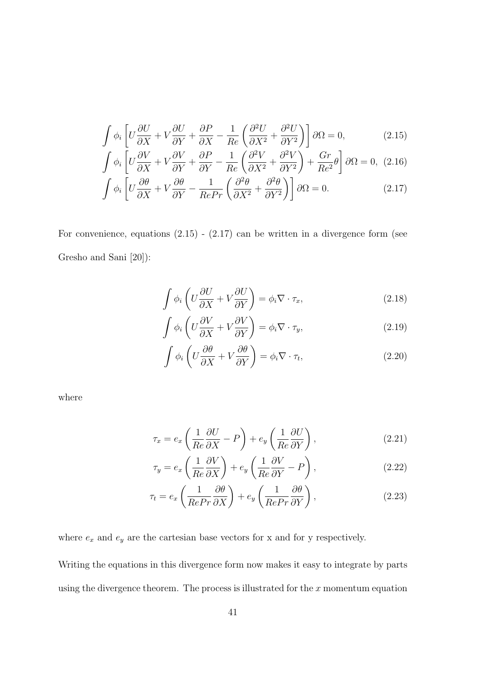$$
\int \phi_i \left[ U \frac{\partial U}{\partial X} + V \frac{\partial U}{\partial Y} + \frac{\partial P}{\partial X} - \frac{1}{Re} \left( \frac{\partial^2 U}{\partial X^2} + \frac{\partial^2 U}{\partial Y^2} \right) \right] \partial \Omega = 0, \tag{2.15}
$$

$$
\int \phi_i \left[ U \frac{\partial V}{\partial X} + V \frac{\partial V}{\partial Y} + \frac{\partial P}{\partial Y} - \frac{1}{Re} \left( \frac{\partial^2 V}{\partial X^2} + \frac{\partial^2 V}{\partial Y^2} \right) + \frac{Gr}{Re^2} \theta \right] \partial \Omega = 0, (2.16)
$$
  

$$
\int \phi_i \left[ U \frac{\partial \theta}{\partial X} + V \frac{\partial \theta}{\partial Y} - \frac{1}{RePr} \left( \frac{\partial^2 \theta}{\partial X^2} + \frac{\partial^2 \theta}{\partial Y^2} \right) \right] \partial \Omega = 0.
$$
 (2.17)

$$
\int \phi_i \left[ U \frac{\partial v}{\partial X} + V \frac{\partial v}{\partial Y} - \frac{1}{RePr} \left( \frac{\partial v}{\partial X^2} + \frac{\partial v}{\partial Y^2} \right) \right] \partial \Omega = 0. \tag{2.17}
$$

For convenience, equations  $(2.15)$  -  $(2.17)$  can be written in a divergence form (see Gresho and Sani [20]):

$$
\int \phi_i \left( U \frac{\partial U}{\partial X} + V \frac{\partial U}{\partial Y} \right) = \phi_i \nabla \cdot \tau_x,
$$
\n(2.18)

$$
\int \phi_i \left( U \frac{\partial V}{\partial X} + V \frac{\partial V}{\partial Y} \right) = \phi_i \nabla \cdot \tau_y,
$$
\n(2.19)

$$
\int \phi_i \left( U \frac{\partial \theta}{\partial X} + V \frac{\partial \theta}{\partial Y} \right) = \phi_i \nabla \cdot \tau_t,
$$
\n(2.20)

where

$$
\tau_x = e_x \left( \frac{1}{Re} \frac{\partial U}{\partial X} - P \right) + e_y \left( \frac{1}{Re} \frac{\partial U}{\partial Y} \right),\tag{2.21}
$$

$$
\tau_y = e_x \left( \frac{1}{Re} \frac{\partial V}{\partial X} \right) + e_y \left( \frac{1}{Re} \frac{\partial V}{\partial Y} - P \right),\tag{2.22}
$$

$$
\tau_t = e_x \left( \frac{1}{RePr} \frac{\partial \theta}{\partial X} \right) + e_y \left( \frac{1}{RePr} \frac{\partial \theta}{\partial Y} \right), \qquad (2.23)
$$

where  $\mathfrak{e}_x$  and  $\mathfrak{e}_y$  are the cartesian base vectors for x and for y respectively.

Writing the equations in this divergence form now makes it easy to integrate by parts using the divergence theorem. The process is illustrated for the  $x$  momentum equation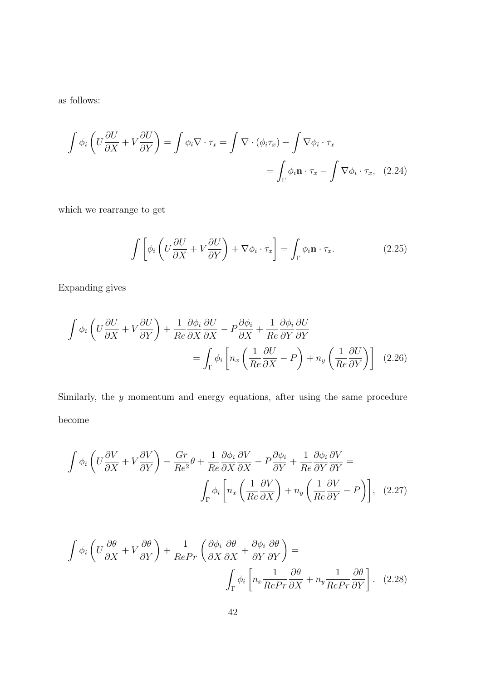as follows:

$$
\int \phi_i \left( U \frac{\partial U}{\partial X} + V \frac{\partial U}{\partial Y} \right) = \int \phi_i \nabla \cdot \tau_x = \int \nabla \cdot (\phi_i \tau_x) - \int \nabla \phi_i \cdot \tau_x
$$
\n
$$
= \int_{\Gamma} \phi_i \mathbf{n} \cdot \tau_x - \int \nabla \phi_i \cdot \tau_x, \quad (2.24)
$$

which we rearrange to get

$$
\int \left[ \phi_i \left( U \frac{\partial U}{\partial X} + V \frac{\partial U}{\partial Y} \right) + \nabla \phi_i \cdot \tau_x \right] = \int_{\Gamma} \phi_i \mathbf{n} \cdot \tau_x. \tag{2.25}
$$

Expanding gives

$$
\int \phi_i \left( U \frac{\partial U}{\partial X} + V \frac{\partial U}{\partial Y} \right) + \frac{1}{Re} \frac{\partial \phi_i}{\partial X} \frac{\partial U}{\partial X} - P \frac{\partial \phi_i}{\partial X} + \frac{1}{Re} \frac{\partial \phi_i}{\partial Y} \frac{\partial U}{\partial Y} \n= \int_{\Gamma} \phi_i \left[ n_x \left( \frac{1}{Re} \frac{\partial U}{\partial X} - P \right) + n_y \left( \frac{1}{Re} \frac{\partial U}{\partial Y} \right) \right] \tag{2.26}
$$

Similarly, the y momentum and energy equations, after using the same procedure become

$$
\int \phi_i \left( U \frac{\partial V}{\partial X} + V \frac{\partial V}{\partial Y} \right) - \frac{Gr}{Re^2} \theta + \frac{1}{Re} \frac{\partial \phi_i}{\partial X} \frac{\partial V}{\partial X} - P \frac{\partial \phi_i}{\partial Y} + \frac{1}{Re} \frac{\partial \phi_i}{\partial Y} \frac{\partial V}{\partial Y} =
$$
\n
$$
\int_{\Gamma} \phi_i \left[ n_x \left( \frac{1}{Re} \frac{\partial V}{\partial X} \right) + n_y \left( \frac{1}{Re} \frac{\partial V}{\partial Y} - P \right) \right], \quad (2.27)
$$

$$
\int \phi_i \left( U \frac{\partial \theta}{\partial X} + V \frac{\partial \theta}{\partial Y} \right) + \frac{1}{RePr} \left( \frac{\partial \phi_i}{\partial X} \frac{\partial \theta}{\partial X} + \frac{\partial \phi_i}{\partial Y} \frac{\partial \theta}{\partial Y} \right) = \int_{\Gamma} \phi_i \left[ n_x \frac{1}{RePr} \frac{\partial \theta}{\partial X} + n_y \frac{1}{RePr} \frac{\partial \theta}{\partial Y} \right].
$$
 (2.28)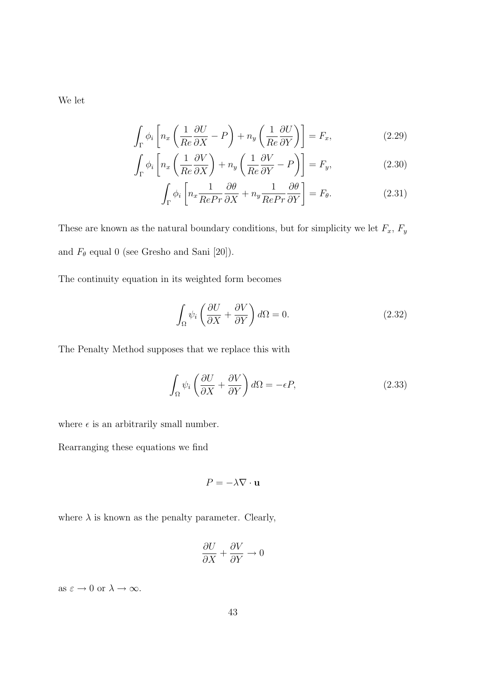We let

$$
\int_{\Gamma} \phi_i \left[ n_x \left( \frac{1}{Re} \frac{\partial U}{\partial X} - P \right) + n_y \left( \frac{1}{Re} \frac{\partial U}{\partial Y} \right) \right] = F_x,
$$
\n(2.29)

$$
\int_{\Gamma} \phi_i \left[ n_x \left( \frac{1}{Re} \frac{\partial V}{\partial X} \right) + n_y \left( \frac{1}{Re} \frac{\partial V}{\partial Y} - P \right) \right] = F_y,\tag{2.30}
$$

$$
\int_{\Gamma} \phi_i \left[ n_x \frac{1}{RePr} \frac{\partial \theta}{\partial X} + n_y \frac{1}{RePr} \frac{\partial \theta}{\partial Y} \right] = F_{\theta}.
$$
 (2.31)

These are known as the natural boundary conditions, but for simplicity we let  $F_x$ ,  $F_y$ and  $F_{\theta}$  equal 0 (see Gresho and Sani [20]).

The continuity equation in its weighted form becomes

$$
\int_{\Omega} \psi_i \left( \frac{\partial U}{\partial X} + \frac{\partial V}{\partial Y} \right) d\Omega = 0.
$$
\n(2.32)

The Penalty Method supposes that we replace this with

$$
\int_{\Omega} \psi_i \left( \frac{\partial U}{\partial X} + \frac{\partial V}{\partial Y} \right) d\Omega = -\epsilon P, \tag{2.33}
$$

where  $\epsilon$  is an arbitrarily small number.

Rearranging these equations we find

$$
P = -\lambda \nabla \cdot \mathbf{u}
$$

where  $\lambda$  is known as the penalty parameter. Clearly,

$$
\frac{\partial U}{\partial X} + \frac{\partial V}{\partial Y} \to 0
$$

as  $\varepsilon \to 0$  or  $\lambda \to \infty$ .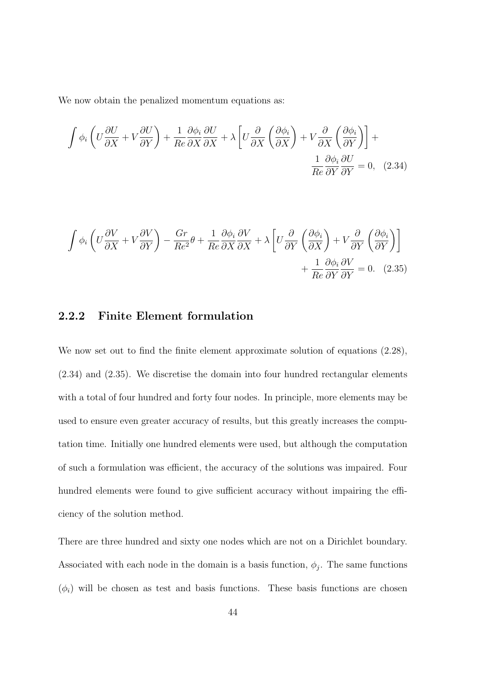We now obtain the penalized momentum equations as:

$$
\int \phi_i \left( U \frac{\partial U}{\partial X} + V \frac{\partial U}{\partial Y} \right) + \frac{1}{Re} \frac{\partial \phi_i}{\partial X} \frac{\partial U}{\partial X} + \lambda \left[ U \frac{\partial}{\partial X} \left( \frac{\partial \phi_i}{\partial X} \right) + V \frac{\partial}{\partial X} \left( \frac{\partial \phi_i}{\partial Y} \right) \right] + \frac{1}{Re} \frac{\partial \phi_i}{\partial Y} \frac{\partial U}{\partial Y} = 0, \quad (2.34)
$$

$$
\int \phi_i \left( U \frac{\partial V}{\partial X} + V \frac{\partial V}{\partial Y} \right) - \frac{Gr}{Re^2} \theta + \frac{1}{Re} \frac{\partial \phi_i}{\partial X} \frac{\partial V}{\partial X} + \lambda \left[ U \frac{\partial}{\partial Y} \left( \frac{\partial \phi_i}{\partial X} \right) + V \frac{\partial}{\partial Y} \left( \frac{\partial \phi_i}{\partial Y} \right) \right] + \frac{1}{Re} \frac{\partial \phi_i}{\partial Y} \frac{\partial V}{\partial Y} = 0. \quad (2.35)
$$

#### 2.2.2 Finite Element formulation

We now set out to find the finite element approximate solution of equations  $(2.28)$ , (2.34) and (2.35). We discretise the domain into four hundred rectangular elements with a total of four hundred and forty four nodes. In principle, more elements may be used to ensure even greater accuracy of results, but this greatly increases the computation time. Initially one hundred elements were used, but although the computation of such a formulation was efficient, the accuracy of the solutions was impaired. Four hundred elements were found to give sufficient accuracy without impairing the efficiency of the solution method.

There are three hundred and sixty one nodes which are not on a Dirichlet boundary. Associated with each node in the domain is a basis function,  $\phi_j$ . The same functions  $(\phi_i)$  will be chosen as test and basis functions. These basis functions are chosen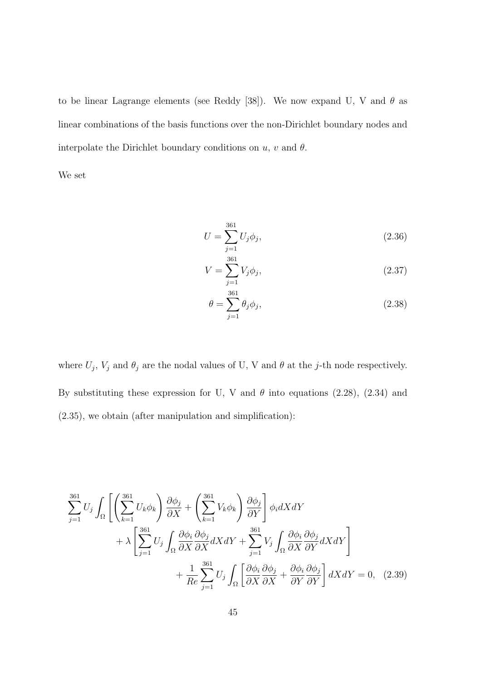to be linear Lagrange elements (see Reddy [38]). We now expand U, V and  $\theta$  as linear combinations of the basis functions over the non-Dirichlet boundary nodes and interpolate the Dirichlet boundary conditions on  $u, v$  and  $\theta$ .

We set

$$
U = \sum_{j=1}^{361} U_j \phi_j,
$$
\n(2.36)

$$
V = \sum_{j=1}^{361} V_j \phi_j,
$$
\n(2.37)

$$
\theta = \sum_{j=1}^{361} \theta_j \phi_j,\tag{2.38}
$$

where  $U_j$ ,  $V_j$  and  $\theta_j$  are the nodal values of U, V and  $\theta$  at the j-th node respectively. By substituting these expression for U, V and  $\theta$  into equations (2.28), (2.34) and (2.35), we obtain (after manipulation and simplification):

$$
\sum_{j=1}^{361} U_j \int_{\Omega} \left[ \left( \sum_{k=1}^{361} U_k \phi_k \right) \frac{\partial \phi_j}{\partial X} + \left( \sum_{k=1}^{361} V_k \phi_k \right) \frac{\partial \phi_j}{\partial Y} \right] \phi_i dX dY + \lambda \left[ \sum_{j=1}^{361} U_j \int_{\Omega} \frac{\partial \phi_i}{\partial X} \frac{\partial \phi_j}{\partial X} dX dY + \sum_{j=1}^{361} V_j \int_{\Omega} \frac{\partial \phi_i}{\partial X} \frac{\partial \phi_j}{\partial Y} dX dY \right] + \frac{1}{Re} \sum_{j=1}^{361} U_j \int_{\Omega} \left[ \frac{\partial \phi_i}{\partial X} \frac{\partial \phi_j}{\partial X} + \frac{\partial \phi_i}{\partial Y} \frac{\partial \phi_j}{\partial Y} \right] dX dY = 0, (2.39)
$$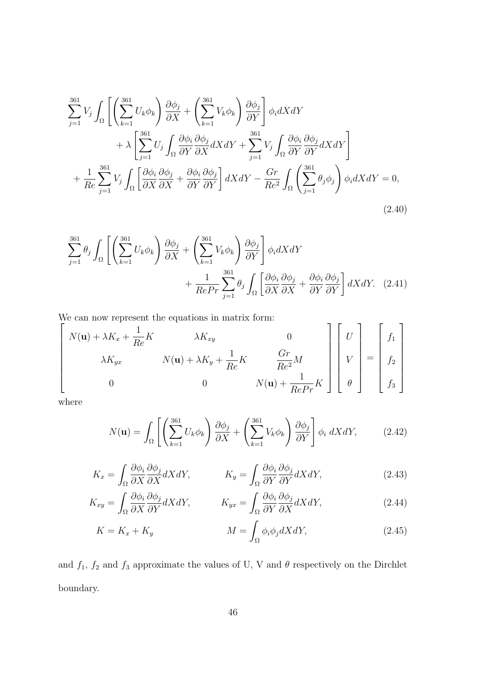$$
\sum_{j=1}^{361} V_j \int_{\Omega} \left[ \left( \sum_{k=1}^{361} U_k \phi_k \right) \frac{\partial \phi_j}{\partial X} + \left( \sum_{k=1}^{361} V_k \phi_k \right) \frac{\partial \phi_j}{\partial Y} \right] \phi_i dX dY + \lambda \left[ \sum_{j=1}^{361} U_j \int_{\Omega} \frac{\partial \phi_i}{\partial Y} \frac{\partial \phi_j}{\partial X} dX dY + \sum_{j=1}^{361} V_j \int_{\Omega} \frac{\partial \phi_i}{\partial Y} \frac{\partial \phi_j}{\partial Y} dX dY \right] + \frac{1}{Re} \sum_{j=1}^{361} V_j \int_{\Omega} \left[ \frac{\partial \phi_i}{\partial X} \frac{\partial \phi_j}{\partial X} + \frac{\partial \phi_i}{\partial Y} \frac{\partial \phi_j}{\partial Y} \right] dX dY - \frac{Gr}{Re^2} \int_{\Omega} \left( \sum_{j=1}^{361} \theta_j \phi_j \right) \phi_i dX dY = 0,
$$
\n(2.40)

$$
\sum_{j=1}^{361} \theta_j \int_{\Omega} \left[ \left( \sum_{k=1}^{361} U_k \phi_k \right) \frac{\partial \phi_j}{\partial X} + \left( \sum_{k=1}^{361} V_k \phi_k \right) \frac{\partial \phi_j}{\partial Y} \right] \phi_i dX dY + \frac{1}{RePr} \sum_{j=1}^{361} \theta_j \int_{\Omega} \left[ \frac{\partial \phi_i}{\partial X} \frac{\partial \phi_j}{\partial X} + \frac{\partial \phi_i}{\partial Y} \frac{\partial \phi_j}{\partial Y} \right] dX dY. (2.41)
$$

We can now represent the equations in matrix form:

$$
\begin{bmatrix}\nN(\mathbf{u}) + \lambda K_x + \frac{1}{Re}K & \lambda K_{xy} & 0 \\
\lambda K_{yx} & N(\mathbf{u}) + \lambda K_y + \frac{1}{Re}K & \frac{Gr}{Re^2}M \\
0 & 0 & N(\mathbf{u}) + \frac{1}{RePr}K\n\end{bmatrix}\n\begin{bmatrix}\nU \\
V \\
V \\
\theta\n\end{bmatrix} = \begin{bmatrix}\nf_1 \\
f_2 \\
f_3\n\end{bmatrix}
$$

where

$$
N(\mathbf{u}) = \int_{\Omega} \left[ \left( \sum_{k=1}^{361} U_k \phi_k \right) \frac{\partial \phi_j}{\partial X} + \left( \sum_{k=1}^{361} V_k \phi_k \right) \frac{\partial \phi_j}{\partial Y} \right] \phi_i \, dX dY, \tag{2.42}
$$

$$
K_x = \int_{\Omega} \frac{\partial \phi_i}{\partial X} \frac{\partial \phi_j}{\partial X} dX dY, \qquad K_y = \int_{\Omega} \frac{\partial \phi_i}{\partial Y} \frac{\partial \phi_j}{\partial Y} dX dY,
$$
\n(2.43)

$$
K_{xy} = \int_{\Omega} \frac{\partial \phi_i}{\partial X} \frac{\partial \phi_j}{\partial Y} dX dY, \qquad K_{yx} = \int_{\Omega} \frac{\partial \phi_i}{\partial Y} \frac{\partial \phi_j}{\partial X} dX dY,
$$
\n(2.44)

$$
K = K_x + K_y \qquad \qquad M = \int_{\Omega} \phi_i \phi_j dX dY,\tag{2.45}
$$

and  $f_1$ ,  $f_2$  and  $f_3$  approximate the values of U, V and  $\theta$  respectively on the Dirchlet boundary.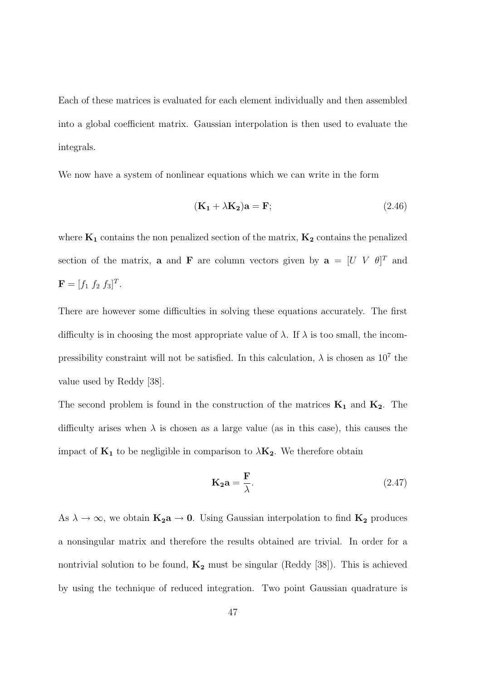Each of these matrices is evaluated for each element individually and then assembled into a global coefficient matrix. Gaussian interpolation is then used to evaluate the integrals.

We now have a system of nonlinear equations which we can write in the form

$$
(\mathbf{K}_1 + \lambda \mathbf{K}_2)\mathbf{a} = \mathbf{F};\tag{2.46}
$$

where  $K_1$  contains the non penalized section of the matrix,  $K_2$  contains the penalized section of the matrix, **a** and **F** are column vectors given by  $\mathbf{a} = [U \ V \ \theta]^T$  and  $\mathbf{F} = [f_1 \; f_2 \; f_3]^T.$ 

There are however some difficulties in solving these equations accurately. The first difficulty is in choosing the most appropriate value of  $\lambda$ . If  $\lambda$  is too small, the incompressibility constraint will not be satisfied. In this calculation,  $\lambda$  is chosen as  $10^7$  the value used by Reddy [38].

The second problem is found in the construction of the matrices  $K_1$  and  $K_2$ . The difficulty arises when  $\lambda$  is chosen as a large value (as in this case), this causes the impact of  $K_1$  to be negligible in comparison to  $\lambda K_2$ . We therefore obtain

$$
\mathbf{K}_2 \mathbf{a} = \frac{\mathbf{F}}{\lambda}.
$$
 (2.47)

As  $\lambda \to \infty$ , we obtain  $K_2a \to 0$ . Using Gaussian interpolation to find  $K_2$  produces a nonsingular matrix and therefore the results obtained are trivial. In order for a nontrivial solution to be found,  $K_2$  must be singular (Reddy [38]). This is achieved by using the technique of reduced integration. Two point Gaussian quadrature is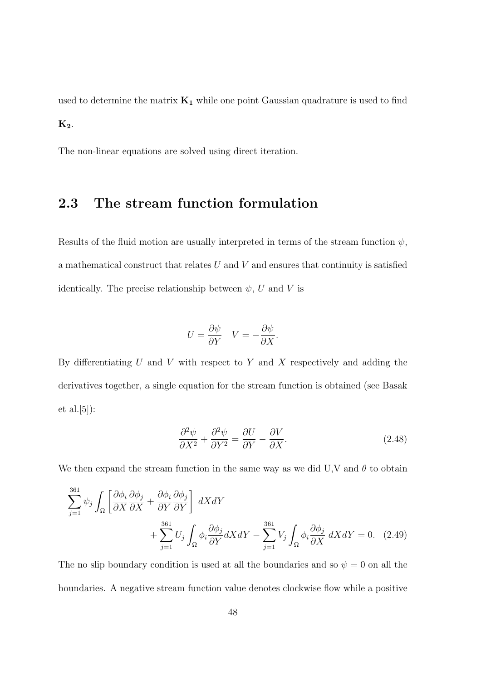used to determine the matrix  $K_1$  while one point Gaussian quadrature is used to find  $K_2$ .

The non-linear equations are solved using direct iteration.

## 2.3 The stream function formulation

Results of the fluid motion are usually interpreted in terms of the stream function  $\psi$ , a mathematical construct that relates  $U$  and  $V$  and ensures that continuity is satisfied identically. The precise relationship between  $\psi$ , U and V is

$$
U = \frac{\partial \psi}{\partial Y} \quad V = -\frac{\partial \psi}{\partial X}.
$$

By differentiating  $U$  and  $V$  with respect to  $Y$  and  $X$  respectively and adding the derivatives together, a single equation for the stream function is obtained (see Basak et al.[5]):

$$
\frac{\partial^2 \psi}{\partial X^2} + \frac{\partial^2 \psi}{\partial Y^2} = \frac{\partial U}{\partial Y} - \frac{\partial V}{\partial X}.
$$
\n(2.48)

We then expand the stream function in the same way as we did U,V and  $\theta$  to obtain

$$
\sum_{j=1}^{361} \psi_j \int_{\Omega} \left[ \frac{\partial \phi_i}{\partial X} \frac{\partial \phi_j}{\partial X} + \frac{\partial \phi_i}{\partial Y} \frac{\partial \phi_j}{\partial Y} \right] dX dY + \sum_{j=1}^{361} U_j \int_{\Omega} \phi_i \frac{\partial \phi_j}{\partial Y} dX dY - \sum_{j=1}^{361} V_j \int_{\Omega} \phi_i \frac{\partial \phi_j}{\partial X} dX dY = 0.
$$
 (2.49)

The no slip boundary condition is used at all the boundaries and so  $\psi = 0$  on all the boundaries. A negative stream function value denotes clockwise flow while a positive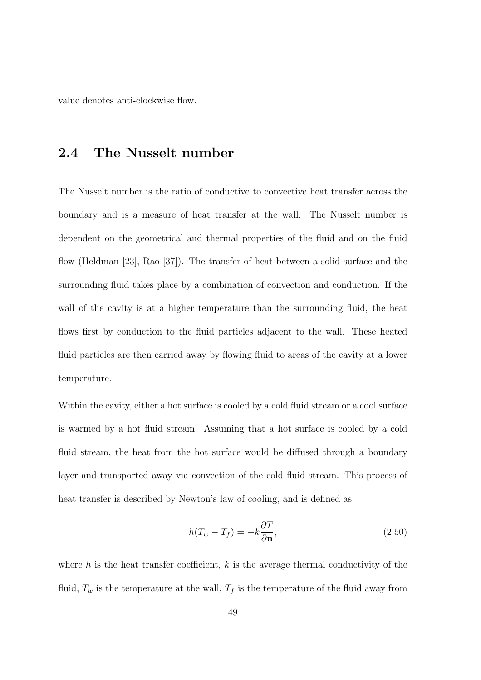value denotes anti-clockwise flow.

### 2.4 The Nusselt number

The Nusselt number is the ratio of conductive to convective heat transfer across the boundary and is a measure of heat transfer at the wall. The Nusselt number is dependent on the geometrical and thermal properties of the fluid and on the fluid flow (Heldman [23], Rao [37]). The transfer of heat between a solid surface and the surrounding fluid takes place by a combination of convection and conduction. If the wall of the cavity is at a higher temperature than the surrounding fluid, the heat flows first by conduction to the fluid particles adjacent to the wall. These heated fluid particles are then carried away by flowing fluid to areas of the cavity at a lower temperature.

Within the cavity, either a hot surface is cooled by a cold fluid stream or a cool surface is warmed by a hot fluid stream. Assuming that a hot surface is cooled by a cold fluid stream, the heat from the hot surface would be diffused through a boundary layer and transported away via convection of the cold fluid stream. This process of heat transfer is described by Newton's law of cooling, and is defined as

$$
h(T_w - T_f) = -k \frac{\partial T}{\partial \mathbf{n}},\tag{2.50}
$$

where h is the heat transfer coefficient,  $k$  is the average thermal conductivity of the fluid,  $T_w$  is the temperature at the wall,  $T_f$  is the temperature of the fluid away from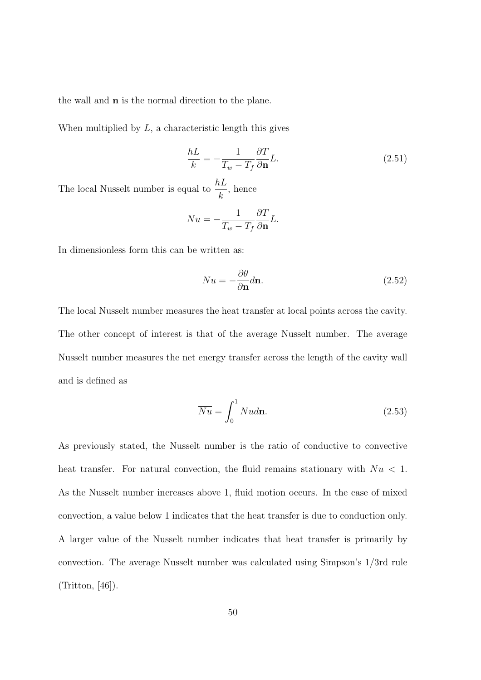the wall and n is the normal direction to the plane.

When multiplied by  $L$ , a characteristic length this gives

$$
\frac{hL}{k} = -\frac{1}{T_w - T_f} \frac{\partial T}{\partial \mathbf{n}} L.
$$
\n(2.51)

The local Nusselt number is equal to  $\frac{hL}{h}$ k , hence

$$
Nu = -\frac{1}{T_w - T_f} \frac{\partial T}{\partial \mathbf{n}} L.
$$

In dimensionless form this can be written as:

$$
Nu = -\frac{\partial \theta}{\partial \mathbf{n}}d\mathbf{n}.\tag{2.52}
$$

The local Nusselt number measures the heat transfer at local points across the cavity. The other concept of interest is that of the average Nusselt number. The average Nusselt number measures the net energy transfer across the length of the cavity wall and is defined as

$$
\overline{Nu} = \int_0^1 Nud\mathbf{n}.\tag{2.53}
$$

As previously stated, the Nusselt number is the ratio of conductive to convective heat transfer. For natural convection, the fluid remains stationary with  $Nu < 1$ . As the Nusselt number increases above 1, fluid motion occurs. In the case of mixed convection, a value below 1 indicates that the heat transfer is due to conduction only. A larger value of the Nusselt number indicates that heat transfer is primarily by convection. The average Nusselt number was calculated using Simpson's 1/3rd rule (Tritton, [46]).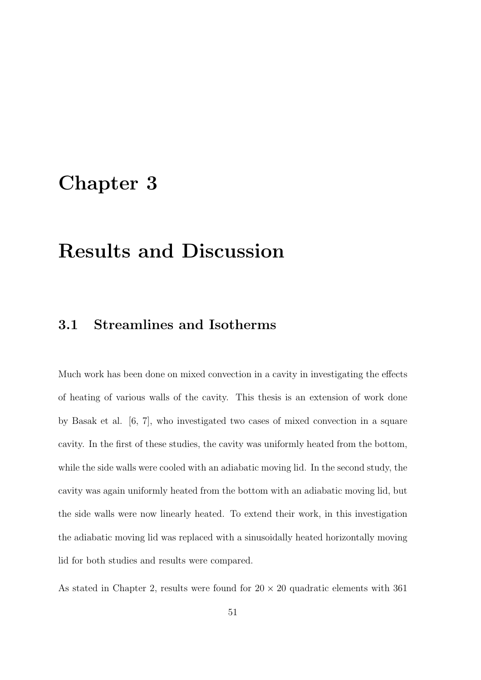## Chapter 3

# Results and Discussion

## 3.1 Streamlines and Isotherms

Much work has been done on mixed convection in a cavity in investigating the effects of heating of various walls of the cavity. This thesis is an extension of work done by Basak et al. [6, 7], who investigated two cases of mixed convection in a square cavity. In the first of these studies, the cavity was uniformly heated from the bottom, while the side walls were cooled with an adiabatic moving lid. In the second study, the cavity was again uniformly heated from the bottom with an adiabatic moving lid, but the side walls were now linearly heated. To extend their work, in this investigation the adiabatic moving lid was replaced with a sinusoidally heated horizontally moving lid for both studies and results were compared.

As stated in Chapter 2, results were found for  $20 \times 20$  quadratic elements with 361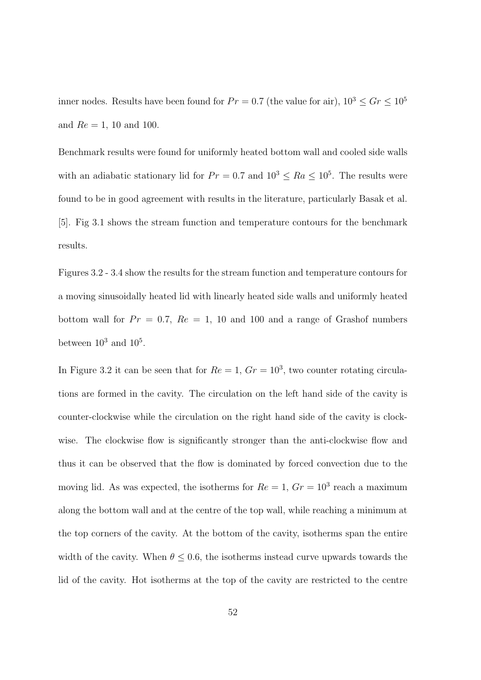inner nodes. Results have been found for  $Pr = 0.7$  (the value for air),  $10^3 \leq Gr \leq 10^5$ and  $Re = 1$ , 10 and 100.

Benchmark results were found for uniformly heated bottom wall and cooled side walls with an adiabatic stationary lid for  $Pr = 0.7$  and  $10^3 \leq Ra \leq 10^5$ . The results were found to be in good agreement with results in the literature, particularly Basak et al. [5]. Fig 3.1 shows the stream function and temperature contours for the benchmark results.

Figures 3.2 - 3.4 show the results for the stream function and temperature contours for a moving sinusoidally heated lid with linearly heated side walls and uniformly heated bottom wall for  $Pr = 0.7$ ,  $Re = 1$ , 10 and 100 and a range of Grashof numbers between  $10^3$  and  $10^5$ .

In Figure 3.2 it can be seen that for  $Re = 1, Gr = 10<sup>3</sup>$ , two counter rotating circulations are formed in the cavity. The circulation on the left hand side of the cavity is counter-clockwise while the circulation on the right hand side of the cavity is clockwise. The clockwise flow is significantly stronger than the anti-clockwise flow and thus it can be observed that the flow is dominated by forced convection due to the moving lid. As was expected, the isotherms for  $Re = 1, Gr = 10<sup>3</sup>$  reach a maximum along the bottom wall and at the centre of the top wall, while reaching a minimum at the top corners of the cavity. At the bottom of the cavity, isotherms span the entire width of the cavity. When  $\theta \leq 0.6$ , the isotherms instead curve upwards towards the lid of the cavity. Hot isotherms at the top of the cavity are restricted to the centre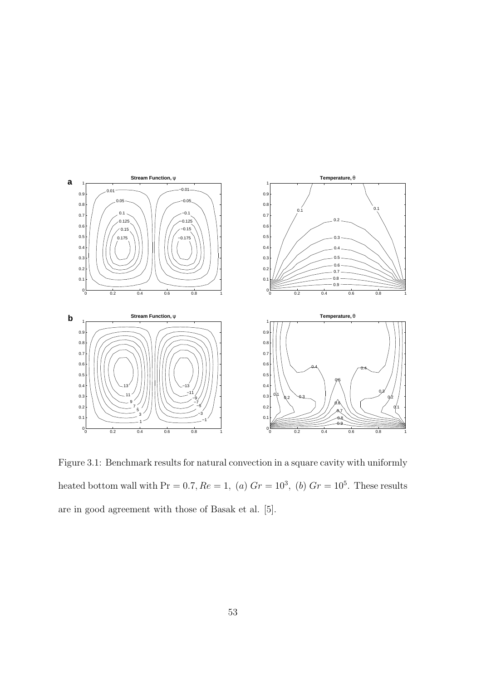

Figure 3.1: Benchmark results for natural convection in a square cavity with uniformly heated bottom wall with  $Pr = 0.7, Re = 1, (a)$   $Gr = 10<sup>3</sup>, (b)$   $Gr = 10<sup>5</sup>$ . These results are in good agreement with those of Basak et al. [5].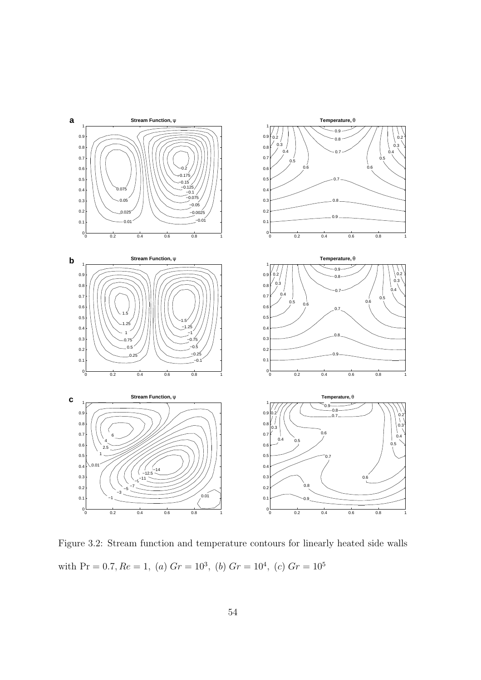

Figure 3.2: Stream function and temperature contours for linearly heated side walls with Pr = 0.7,  $Re = 1$ , (a)  $Gr = 10^3$ , (b)  $Gr = 10^4$ , (c)  $Gr = 10^5$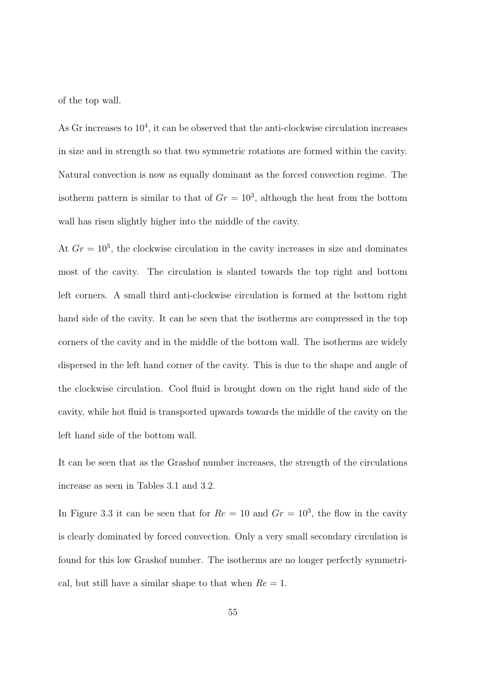of the top wall.

As Gr increases to  $10^4$ , it can be observed that the anti-clockwise circulation increases in size and in strength so that two symmetric rotations are formed within the cavity. Natural convection is now as equally dominant as the forced convection regime. The isotherm pattern is similar to that of  $Gr = 10<sup>3</sup>$ , although the heat from the bottom wall has risen slightly higher into the middle of the cavity.

At  $Gr = 10^5$ , the clockwise circulation in the cavity increases in size and dominates most of the cavity. The circulation is slanted towards the top right and bottom left corners. A small third anti-clockwise circulation is formed at the bottom right hand side of the cavity. It can be seen that the isotherms are compressed in the top corners of the cavity and in the middle of the bottom wall. The isotherms are widely dispersed in the left hand corner of the cavity. This is due to the shape and angle of the clockwise circulation. Cool fluid is brought down on the right hand side of the cavity, while hot fluid is transported upwards towards the middle of the cavity on the left hand side of the bottom wall.

It can be seen that as the Grashof number increases, the strength of the circulations increase as seen in Tables 3.1 and 3.2.

In Figure 3.3 it can be seen that for  $Re = 10$  and  $Gr = 10<sup>3</sup>$ , the flow in the cavity is clearly dominated by forced convection. Only a very small secondary circulation is found for this low Grashof number. The isotherms are no longer perfectly symmetrical, but still have a similar shape to that when  $Re = 1$ .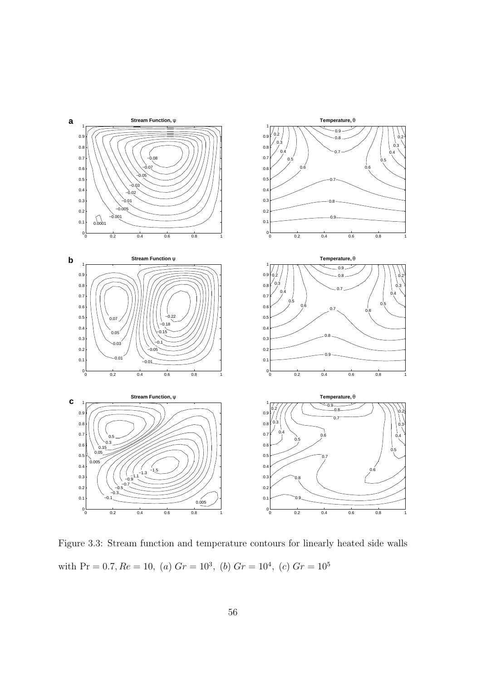

Figure 3.3: Stream function and temperature contours for linearly heated side walls with Pr = 0.7,  $Re = 10$ , (a)  $Gr = 10^3$ , (b)  $Gr = 10^4$ , (c)  $Gr = 10^5$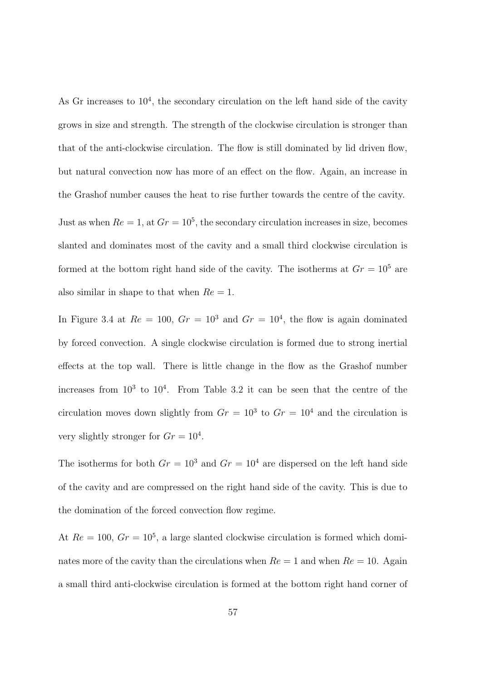As Gr increases to  $10^4$ , the secondary circulation on the left hand side of the cavity grows in size and strength. The strength of the clockwise circulation is stronger than that of the anti-clockwise circulation. The flow is still dominated by lid driven flow, but natural convection now has more of an effect on the flow. Again, an increase in the Grashof number causes the heat to rise further towards the centre of the cavity. Just as when  $Re = 1$ , at  $Gr = 10<sup>5</sup>$ , the secondary circulation increases in size, becomes slanted and dominates most of the cavity and a small third clockwise circulation is formed at the bottom right hand side of the cavity. The isotherms at  $Gr = 10^5$  are also similar in shape to that when  $Re = 1$ .

In Figure 3.4 at  $Re = 100$ ,  $Gr = 10<sup>3</sup>$  and  $Gr = 10<sup>4</sup>$ , the flow is again dominated by forced convection. A single clockwise circulation is formed due to strong inertial effects at the top wall. There is little change in the flow as the Grashof number increases from  $10^3$  to  $10^4$ . From Table 3.2 it can be seen that the centre of the circulation moves down slightly from  $Gr = 10^3$  to  $Gr = 10^4$  and the circulation is very slightly stronger for  $Gr = 10^4$ .

The isotherms for both  $Gr = 10^3$  and  $Gr = 10^4$  are dispersed on the left hand side of the cavity and are compressed on the right hand side of the cavity. This is due to the domination of the forced convection flow regime.

At  $Re = 100$ ,  $Gr = 10^5$ , a large slanted clockwise circulation is formed which dominates more of the cavity than the circulations when  $Re = 1$  and when  $Re = 10$ . Again a small third anti-clockwise circulation is formed at the bottom right hand corner of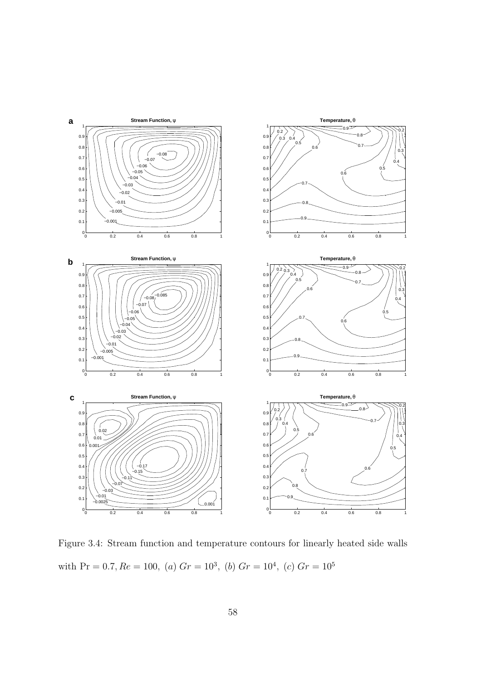

Figure 3.4: Stream function and temperature contours for linearly heated side walls with  $Pr = 0.7, Re = 100, (a) Gr = 10<sup>3</sup>, (b) Gr = 10<sup>4</sup>, (c) Gr = 10<sup>5</sup>$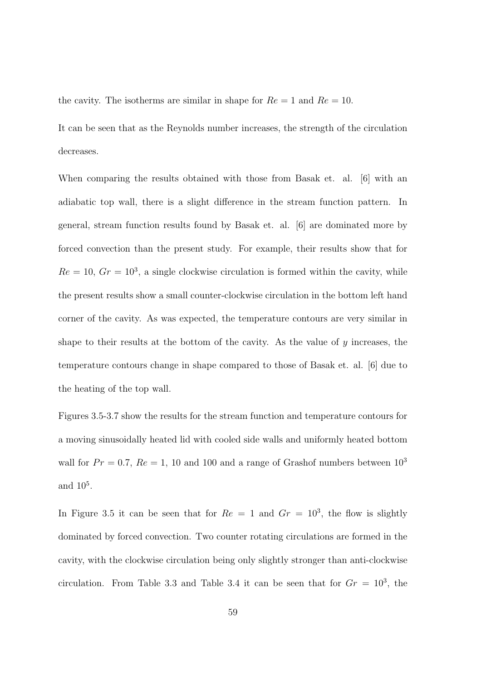the cavity. The isotherms are similar in shape for  $Re = 1$  and  $Re = 10$ .

It can be seen that as the Reynolds number increases, the strength of the circulation decreases.

When comparing the results obtained with those from Basak et. al.  $|6|$  with an adiabatic top wall, there is a slight difference in the stream function pattern. In general, stream function results found by Basak et. al. [6] are dominated more by forced convection than the present study. For example, their results show that for  $Re = 10$ ,  $Gr = 10<sup>3</sup>$ , a single clockwise circulation is formed within the cavity, while the present results show a small counter-clockwise circulation in the bottom left hand corner of the cavity. As was expected, the temperature contours are very similar in shape to their results at the bottom of the cavity. As the value of  $y$  increases, the temperature contours change in shape compared to those of Basak et. al. [6] due to the heating of the top wall.

Figures 3.5-3.7 show the results for the stream function and temperature contours for a moving sinusoidally heated lid with cooled side walls and uniformly heated bottom wall for  $Pr = 0.7$ ,  $Re = 1$ , 10 and 100 and a range of Grashof numbers between  $10<sup>3</sup>$ and  $10^5$ .

In Figure 3.5 it can be seen that for  $Re = 1$  and  $Gr = 10^3$ , the flow is slightly dominated by forced convection. Two counter rotating circulations are formed in the cavity, with the clockwise circulation being only slightly stronger than anti-clockwise circulation. From Table 3.3 and Table 3.4 it can be seen that for  $Gr = 10^3$ , the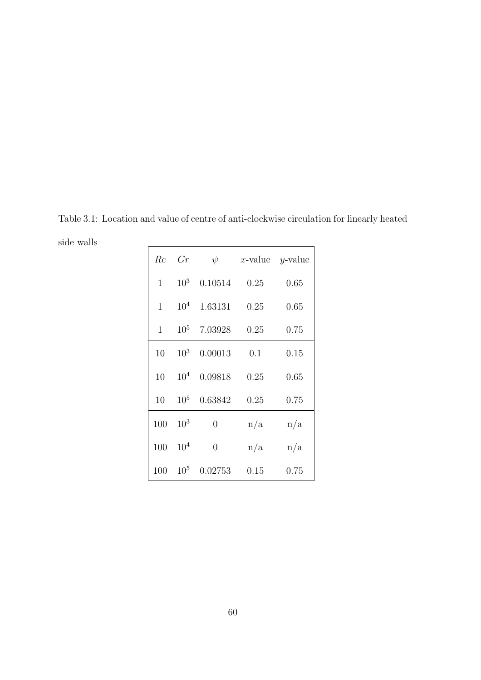Table 3.1: Location and value of centre of anti-clockwise circulation for linearly heated side walls

| Re           | Gr              | $\psi$         | x-value $y$ -value |      |
|--------------|-----------------|----------------|--------------------|------|
| $\mathbf{1}$ | 10 <sup>3</sup> | 0.10514        | 0.25               | 0.65 |
| 1            | $10^{4}$        | 1.63131        | 0.25               | 0.65 |
| $\mathbf{1}$ | $10^{5}$        | 7.03928        | 0.25               | 0.75 |
| 10           | 10 <sup>3</sup> | 0.00013        | 0.1                | 0.15 |
| 10           | $10^{4}$        | 0.09818        | 0.25               | 0.65 |
| 10           | $10^{5}$        | 0.63842        | 0.25               | 0.75 |
| 100          | $10^{3}$        | $\overline{0}$ | n/a                | n/a  |
| 100          | $10^{4}$        | $\overline{0}$ | n/a                | n/a  |
| 100          | $10^{5}$        | 0.02753        | 0.15               | 0.75 |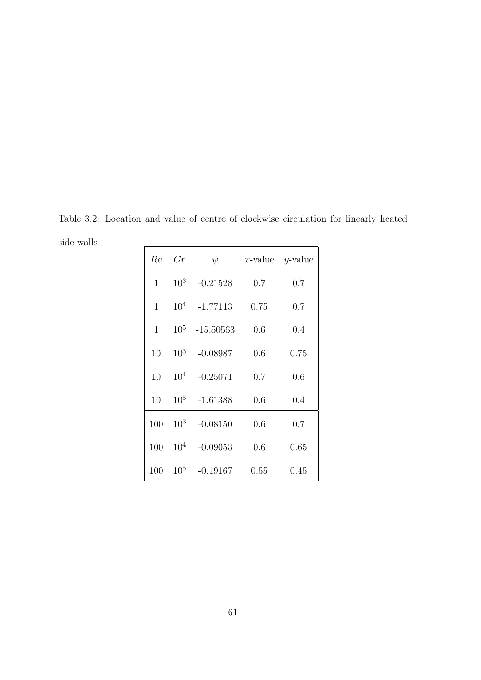Table 3.2: Location and value of centre of clockwise circulation for linearly heated side walls

| Re           | Gr              | $\psi$      | $x$ -value | y-value |
|--------------|-----------------|-------------|------------|---------|
| $\mathbf{1}$ | $10^{3}$        | $-0.21528$  | 0.7        | 0.7     |
| 1            | 10 <sup>4</sup> | $-1.77113$  | 0.75       | 0.7     |
| 1            | $10^{5}$        | $-15.50563$ | 0.6        | 0.4     |
| 10           | $10^{3}$        | $-0.08987$  | 0.6        | 0.75    |
| 10           | $10^{4}$        | $-0.25071$  | 0.7        | 0.6     |
| 10           | $10^{5}$        | $-1.61388$  | 0.6        | 0.4     |
| 100          | $10^{3}$        | $-0.08150$  | 0.6        | 0.7     |
| 100          | $10^{4}$        | $-0.09053$  | 0.6        | 0.65    |
| 100          | $10^{5}$        | $-0.19167$  | 0.55       | 0.45    |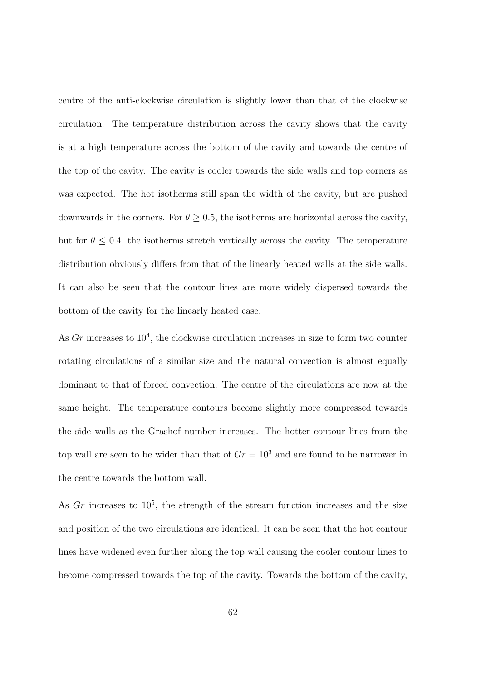centre of the anti-clockwise circulation is slightly lower than that of the clockwise circulation. The temperature distribution across the cavity shows that the cavity is at a high temperature across the bottom of the cavity and towards the centre of the top of the cavity. The cavity is cooler towards the side walls and top corners as was expected. The hot isotherms still span the width of the cavity, but are pushed downwards in the corners. For  $\theta \geq 0.5$ , the isotherms are horizontal across the cavity, but for  $\theta \leq 0.4$ , the isotherms stretch vertically across the cavity. The temperature distribution obviously differs from that of the linearly heated walls at the side walls. It can also be seen that the contour lines are more widely dispersed towards the bottom of the cavity for the linearly heated case.

As  $Gr$  increases to  $10<sup>4</sup>$ , the clockwise circulation increases in size to form two counter rotating circulations of a similar size and the natural convection is almost equally dominant to that of forced convection. The centre of the circulations are now at the same height. The temperature contours become slightly more compressed towards the side walls as the Grashof number increases. The hotter contour lines from the top wall are seen to be wider than that of  $Gr = 10<sup>3</sup>$  and are found to be narrower in the centre towards the bottom wall.

As  $Gr$  increases to  $10<sup>5</sup>$ , the strength of the stream function increases and the size and position of the two circulations are identical. It can be seen that the hot contour lines have widened even further along the top wall causing the cooler contour lines to become compressed towards the top of the cavity. Towards the bottom of the cavity,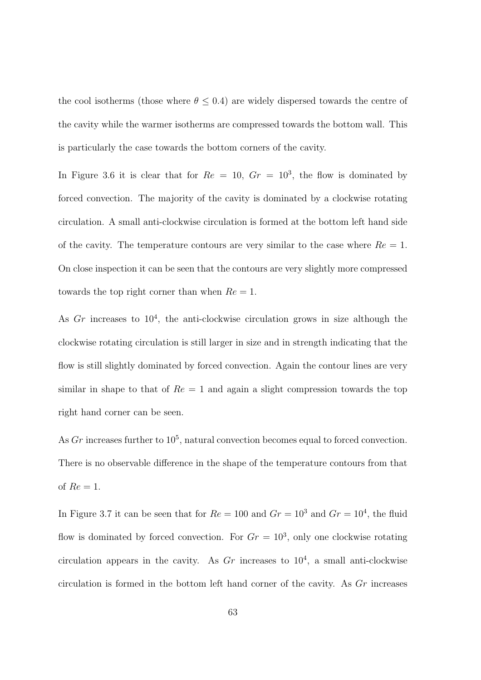the cool isotherms (those where  $\theta \leq 0.4$ ) are widely dispersed towards the centre of the cavity while the warmer isotherms are compressed towards the bottom wall. This is particularly the case towards the bottom corners of the cavity.

In Figure 3.6 it is clear that for  $Re = 10$ ,  $Gr = 10<sup>3</sup>$ , the flow is dominated by forced convection. The majority of the cavity is dominated by a clockwise rotating circulation. A small anti-clockwise circulation is formed at the bottom left hand side of the cavity. The temperature contours are very similar to the case where  $Re = 1$ . On close inspection it can be seen that the contours are very slightly more compressed towards the top right corner than when  $Re = 1$ .

As  $Gr$  increases to  $10<sup>4</sup>$ , the anti-clockwise circulation grows in size although the clockwise rotating circulation is still larger in size and in strength indicating that the flow is still slightly dominated by forced convection. Again the contour lines are very similar in shape to that of  $Re = 1$  and again a slight compression towards the top right hand corner can be seen.

As  $Gr$  increases further to  $10<sup>5</sup>$ , natural convection becomes equal to forced convection. There is no observable difference in the shape of the temperature contours from that of  $Re = 1$ .

In Figure 3.7 it can be seen that for  $Re = 100$  and  $Gr = 10^3$  and  $Gr = 10^4$ , the fluid flow is dominated by forced convection. For  $Gr = 10^3$ , only one clockwise rotating circulation appears in the cavity. As  $Gr$  increases to  $10<sup>4</sup>$ , a small anti-clockwise circulation is formed in the bottom left hand corner of the cavity. As Gr increases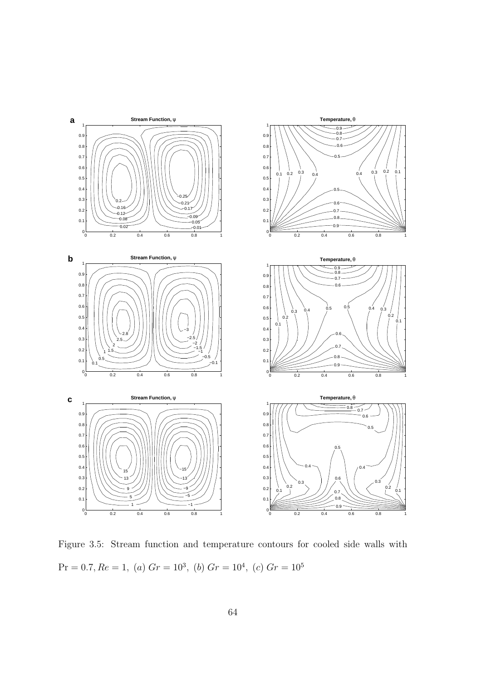

Figure 3.5: Stream function and temperature contours for cooled side walls with  $Pr = 0.7, Re = 1, (a)$   $Gr = 10^3, (b)$   $Gr = 10^4, (c)$   $Gr = 10^5$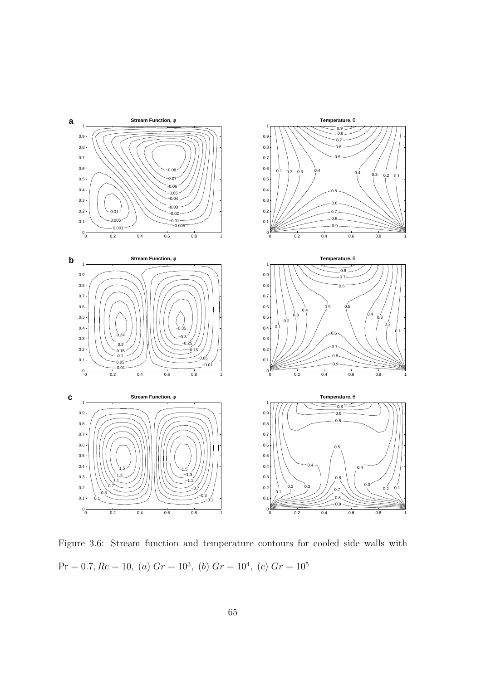

Figure 3.6: Stream function and temperature contours for cooled side walls with  $Pr = 0.7, Re = 10, (a) Gr = 10<sup>3</sup>, (b) Gr = 10<sup>4</sup>, (c) Gr = 10<sup>5</sup>$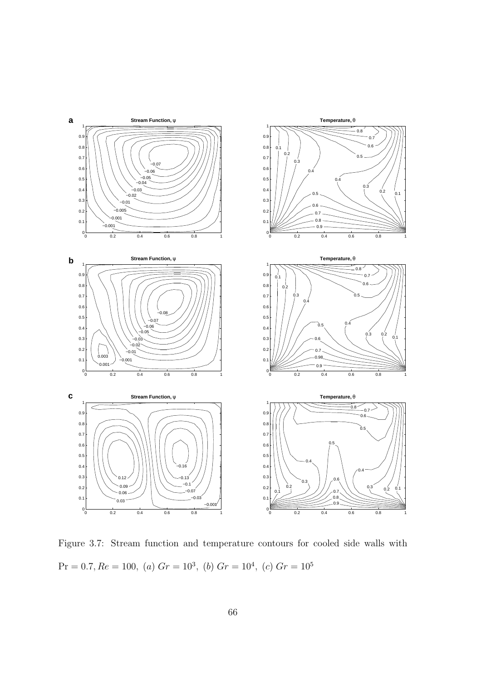

Figure 3.7: Stream function and temperature contours for cooled side walls with  $Pr = 0.7, Re = 100, (a) Gr = 10<sup>3</sup>, (b) Gr = 10<sup>4</sup>, (c) Gr = 10<sup>5</sup>$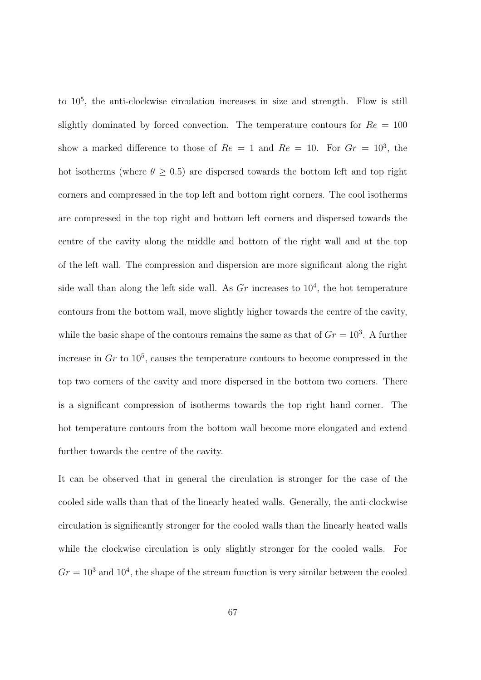to  $10^5$ , the anti-clockwise circulation increases in size and strength. Flow is still slightly dominated by forced convection. The temperature contours for  $Re = 100$ show a marked difference to those of  $Re = 1$  and  $Re = 10$ . For  $Gr = 10<sup>3</sup>$ , the hot isotherms (where  $\theta \geq 0.5$ ) are dispersed towards the bottom left and top right corners and compressed in the top left and bottom right corners. The cool isotherms are compressed in the top right and bottom left corners and dispersed towards the centre of the cavity along the middle and bottom of the right wall and at the top of the left wall. The compression and dispersion are more significant along the right side wall than along the left side wall. As  $Gr$  increases to  $10<sup>4</sup>$ , the hot temperature contours from the bottom wall, move slightly higher towards the centre of the cavity, while the basic shape of the contours remains the same as that of  $Gr = 10<sup>3</sup>$ . A further increase in  $Gr$  to  $10^5$ , causes the temperature contours to become compressed in the top two corners of the cavity and more dispersed in the bottom two corners. There is a significant compression of isotherms towards the top right hand corner. The hot temperature contours from the bottom wall become more elongated and extend further towards the centre of the cavity.

It can be observed that in general the circulation is stronger for the case of the cooled side walls than that of the linearly heated walls. Generally, the anti-clockwise circulation is significantly stronger for the cooled walls than the linearly heated walls while the clockwise circulation is only slightly stronger for the cooled walls. For  $Gr = 10<sup>3</sup>$  and  $10<sup>4</sup>$ , the shape of the stream function is very similar between the cooled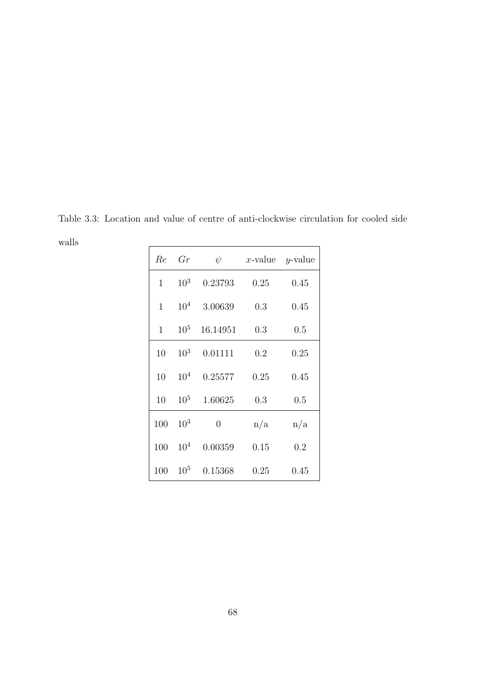Table 3.3: Location and value of centre of anti-clockwise circulation for cooled side walls  $\overline{a}$  $\overline{a}$ 

| Re           | Gr              | $\psi$         | x-value $y$ -value |      |
|--------------|-----------------|----------------|--------------------|------|
| $\mathbf{1}$ | $10^{3}$        | 0.23793        | 0.25               | 0.45 |
| $\mathbf{1}$ | $10^{4}$        | 3.00639        | 0.3                | 0.45 |
| $\mathbf{1}$ | $10^{5}$        | 16.14951       | 0.3                | 0.5  |
| 10           | $10^{3}$        | 0.01111        | 0.2                | 0.25 |
| 10           | 10 <sup>4</sup> | 0.25577        | 0.25               | 0.45 |
| 10           | $10^{5}$        | 1.60625        | 0.3                | 0.5  |
| 100          | $10^{3}$        | $\overline{0}$ | n/a                | n/a  |
| 100          | $10^{4}$        | 0.00359        | 0.15               | 0.2  |
| 100          | 10 <sup>5</sup> | 0.15368        | 0.25               | 0.45 |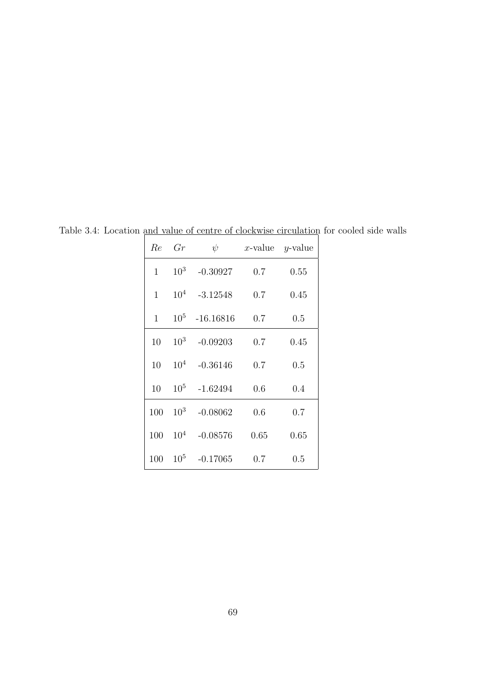| Re           | Gr              | $\psi$      |      | x-value $y$ -value |
|--------------|-----------------|-------------|------|--------------------|
| $\mathbf{1}$ | $10^{3}$        | $-0.30927$  | 0.7  | 0.55               |
| 1            | 10 <sup>4</sup> | $-3.12548$  | 0.7  | 0.45               |
| 1            | 10 <sup>5</sup> | $-16.16816$ | 0.7  | 0.5                |
| 10           | $10^{3}$        | $-0.09203$  | 0.7  | 0.45               |
| 10           | $10^{4}$        | $-0.36146$  | 0.7  | 0.5                |
| 10           | $10^{5}$        | $-1.62494$  | 0.6  | 0.4                |
| 100          | $10^{3}$        | $-0.08062$  | 0.6  | 0.7                |
| 100          | $10^{4}$        | $-0.08576$  | 0.65 | 0.65               |
| 100          | $10^{5}$        | $-0.17065$  | 0.7  | 0.5                |

Table 3.4: Location and value of centre of clockwise circulation for cooled side walls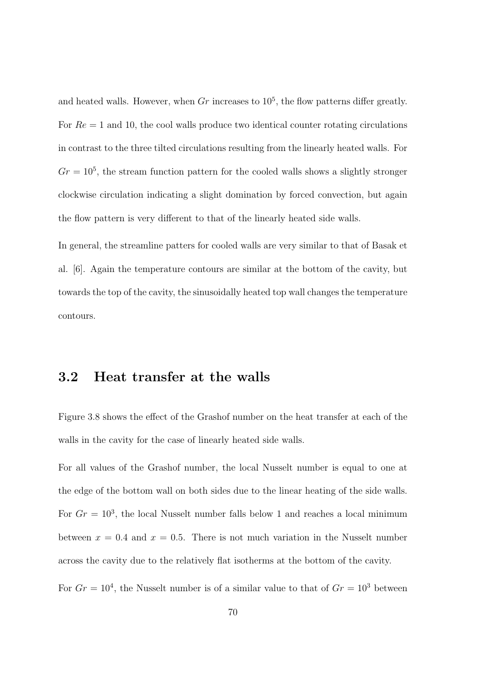and heated walls. However, when  $Gr$  increases to  $10^5$ , the flow patterns differ greatly. For  $Re = 1$  and 10, the cool walls produce two identical counter rotating circulations in contrast to the three tilted circulations resulting from the linearly heated walls. For  $Gr = 10<sup>5</sup>$ , the stream function pattern for the cooled walls shows a slightly stronger clockwise circulation indicating a slight domination by forced convection, but again the flow pattern is very different to that of the linearly heated side walls.

In general, the streamline patters for cooled walls are very similar to that of Basak et al. [6]. Again the temperature contours are similar at the bottom of the cavity, but towards the top of the cavity, the sinusoidally heated top wall changes the temperature contours.

#### 3.2 Heat transfer at the walls

Figure 3.8 shows the effect of the Grashof number on the heat transfer at each of the walls in the cavity for the case of linearly heated side walls.

For all values of the Grashof number, the local Nusselt number is equal to one at the edge of the bottom wall on both sides due to the linear heating of the side walls. For  $Gr = 10<sup>3</sup>$ , the local Nusselt number falls below 1 and reaches a local minimum between  $x = 0.4$  and  $x = 0.5$ . There is not much variation in the Nusselt number across the cavity due to the relatively flat isotherms at the bottom of the cavity.

For  $Gr = 10^4$ , the Nusselt number is of a similar value to that of  $Gr = 10^3$  between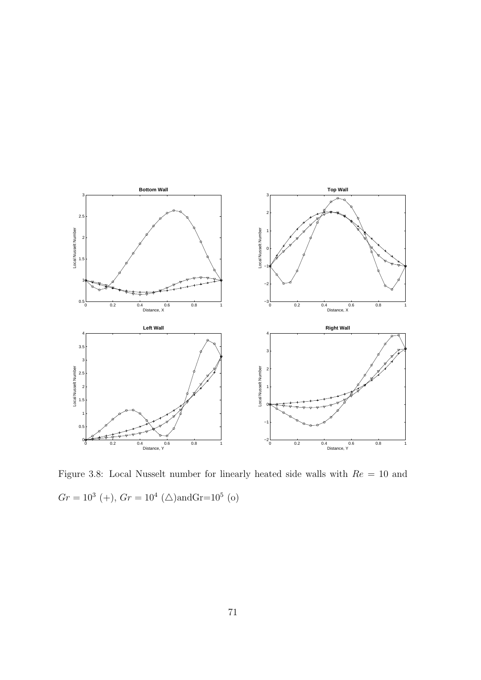

Figure 3.8: Local Nusselt number for linearly heated side walls with  $Re = 10$  and  $Gr = 10^3$  (+),  $Gr = 10^4$  ( $\triangle$ )andGr=10<sup>5</sup> (o)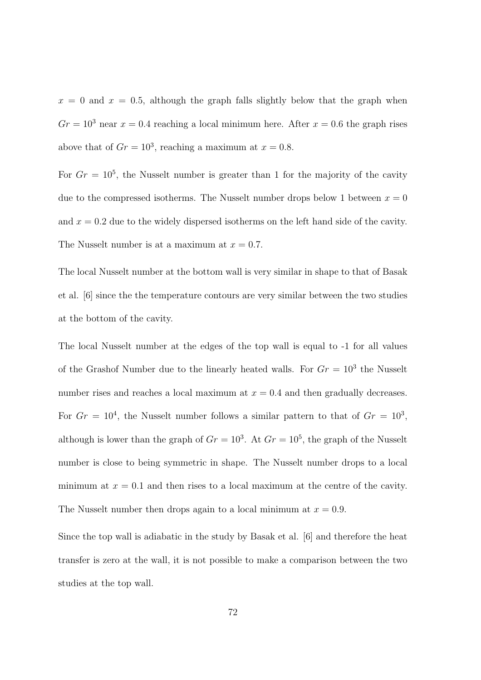$x = 0$  and  $x = 0.5$ , although the graph falls slightly below that the graph when  $Gr = 10<sup>3</sup>$  near  $x = 0.4$  reaching a local minimum here. After  $x = 0.6$  the graph rises above that of  $Gr = 10^3$ , reaching a maximum at  $x = 0.8$ .

For  $Gr = 10^5$ , the Nusselt number is greater than 1 for the majority of the cavity due to the compressed isotherms. The Nusselt number drops below 1 between  $x = 0$ and  $x = 0.2$  due to the widely dispersed isotherms on the left hand side of the cavity. The Nusselt number is at a maximum at  $x = 0.7$ .

The local Nusselt number at the bottom wall is very similar in shape to that of Basak et al. [6] since the the temperature contours are very similar between the two studies at the bottom of the cavity.

The local Nusselt number at the edges of the top wall is equal to -1 for all values of the Grashof Number due to the linearly heated walls. For  $Gr = 10<sup>3</sup>$  the Nusselt number rises and reaches a local maximum at  $x = 0.4$  and then gradually decreases. For  $Gr = 10^4$ , the Nusselt number follows a similar pattern to that of  $Gr = 10^3$ , although is lower than the graph of  $Gr = 10^3$ . At  $Gr = 10^5$ , the graph of the Nusselt number is close to being symmetric in shape. The Nusselt number drops to a local minimum at  $x = 0.1$  and then rises to a local maximum at the centre of the cavity. The Nusselt number then drops again to a local minimum at  $x = 0.9$ .

Since the top wall is adiabatic in the study by Basak et al. [6] and therefore the heat transfer is zero at the wall, it is not possible to make a comparison between the two studies at the top wall.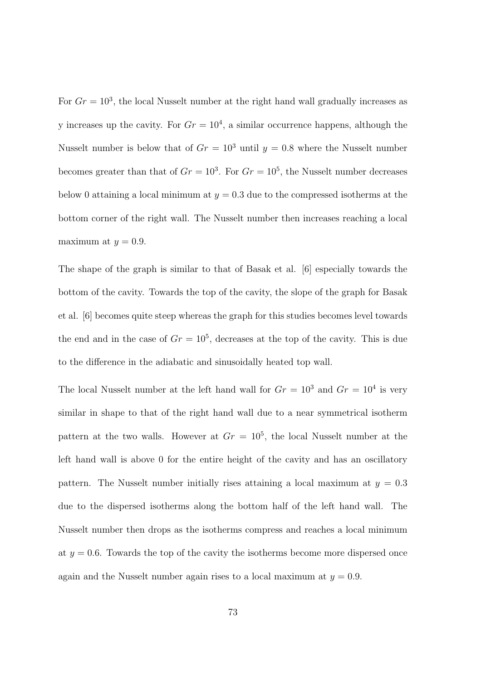For  $Gr = 10^3$ , the local Nusselt number at the right hand wall gradually increases as y increases up the cavity. For  $Gr = 10<sup>4</sup>$ , a similar occurrence happens, although the Nusselt number is below that of  $Gr = 10^3$  until  $y = 0.8$  where the Nusselt number becomes greater than that of  $Gr = 10^3$ . For  $Gr = 10^5$ , the Nusselt number decreases below 0 attaining a local minimum at  $y = 0.3$  due to the compressed isotherms at the bottom corner of the right wall. The Nusselt number then increases reaching a local maximum at  $y = 0.9$ .

The shape of the graph is similar to that of Basak et al. [6] especially towards the bottom of the cavity. Towards the top of the cavity, the slope of the graph for Basak et al. [6] becomes quite steep whereas the graph for this studies becomes level towards the end and in the case of  $Gr = 10^5$ , decreases at the top of the cavity. This is due to the difference in the adiabatic and sinusoidally heated top wall.

The local Nusselt number at the left hand wall for  $Gr = 10^3$  and  $Gr = 10^4$  is very similar in shape to that of the right hand wall due to a near symmetrical isotherm pattern at the two walls. However at  $Gr = 10^5$ , the local Nusselt number at the left hand wall is above 0 for the entire height of the cavity and has an oscillatory pattern. The Nusselt number initially rises attaining a local maximum at  $y = 0.3$ due to the dispersed isotherms along the bottom half of the left hand wall. The Nusselt number then drops as the isotherms compress and reaches a local minimum at  $y = 0.6$ . Towards the top of the cavity the isotherms become more dispersed once again and the Nusselt number again rises to a local maximum at  $y = 0.9$ .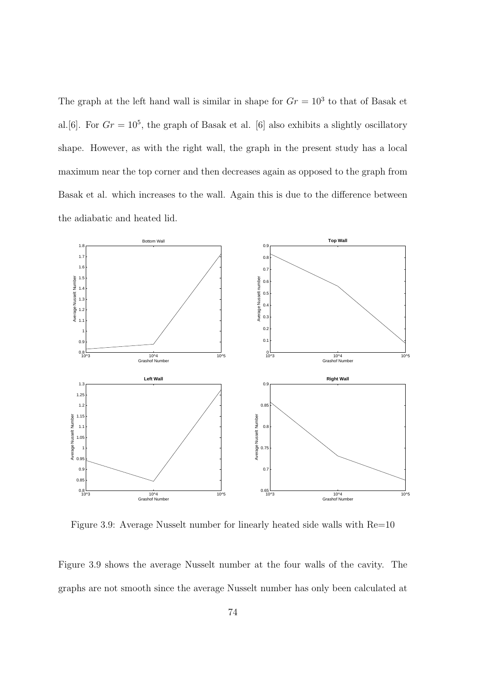The graph at the left hand wall is similar in shape for  $Gr = 10<sup>3</sup>$  to that of Basak et al. [6]. For  $Gr = 10^5$ , the graph of Basak et al. [6] also exhibits a slightly oscillatory shape. However, as with the right wall, the graph in the present study has a local maximum near the top corner and then decreases again as opposed to the graph from Basak et al. which increases to the wall. Again this is due to the difference between the adiabatic and heated lid.



Figure 3.9: Average Nusselt number for linearly heated side walls with Re=10

Figure 3.9 shows the average Nusselt number at the four walls of the cavity. The graphs are not smooth since the average Nusselt number has only been calculated at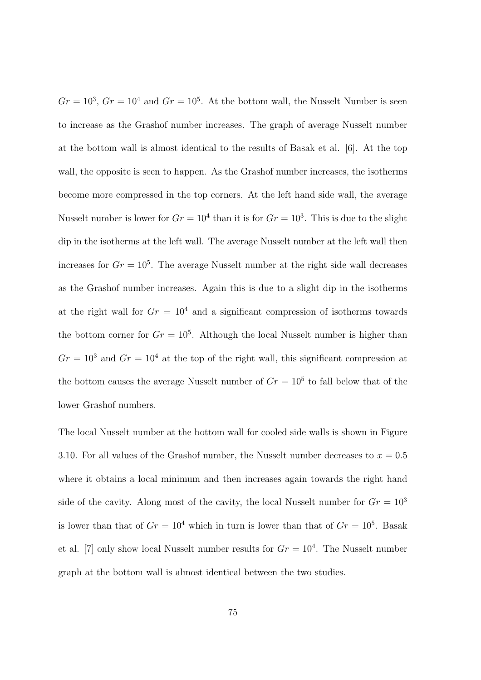$Gr = 10^3$ ,  $Gr = 10^4$  and  $Gr = 10^5$ . At the bottom wall, the Nusselt Number is seen to increase as the Grashof number increases. The graph of average Nusselt number at the bottom wall is almost identical to the results of Basak et al. [6]. At the top wall, the opposite is seen to happen. As the Grashof number increases, the isotherms become more compressed in the top corners. At the left hand side wall, the average Nusselt number is lower for  $Gr = 10^4$  than it is for  $Gr = 10^3$ . This is due to the slight dip in the isotherms at the left wall. The average Nusselt number at the left wall then increases for  $Gr = 10<sup>5</sup>$ . The average Nusselt number at the right side wall decreases as the Grashof number increases. Again this is due to a slight dip in the isotherms at the right wall for  $Gr = 10^4$  and a significant compression of isotherms towards the bottom corner for  $Gr = 10^5$ . Although the local Nusselt number is higher than  $Gr = 10<sup>3</sup>$  and  $Gr = 10<sup>4</sup>$  at the top of the right wall, this significant compression at the bottom causes the average Nusselt number of  $Gr = 10^5$  to fall below that of the lower Grashof numbers.

The local Nusselt number at the bottom wall for cooled side walls is shown in Figure 3.10. For all values of the Grashof number, the Nusselt number decreases to  $x = 0.5$ where it obtains a local minimum and then increases again towards the right hand side of the cavity. Along most of the cavity, the local Nusselt number for  $Gr = 10<sup>3</sup>$ is lower than that of  $Gr = 10^4$  which in turn is lower than that of  $Gr = 10^5$ . Basak et al. [7] only show local Nusselt number results for  $Gr = 10<sup>4</sup>$ . The Nusselt number graph at the bottom wall is almost identical between the two studies.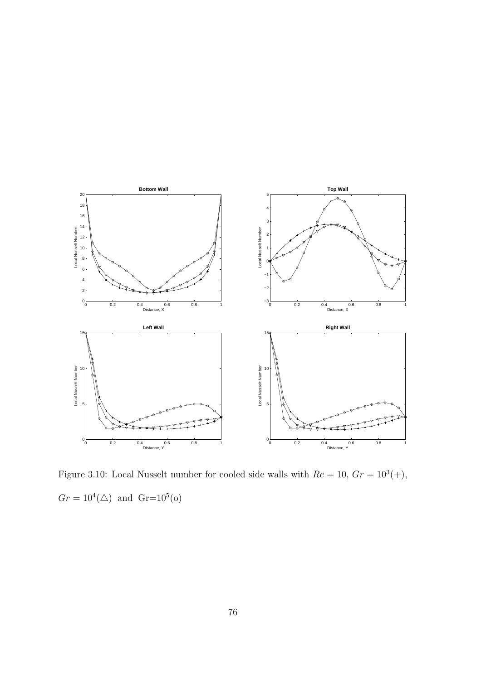

Figure 3.10: Local Nusselt number for cooled side walls with  $Re = 10, Gr = 10^3(+),$  $Gr = 10^4(\triangle)$  and  $Gr = 10^5(o)$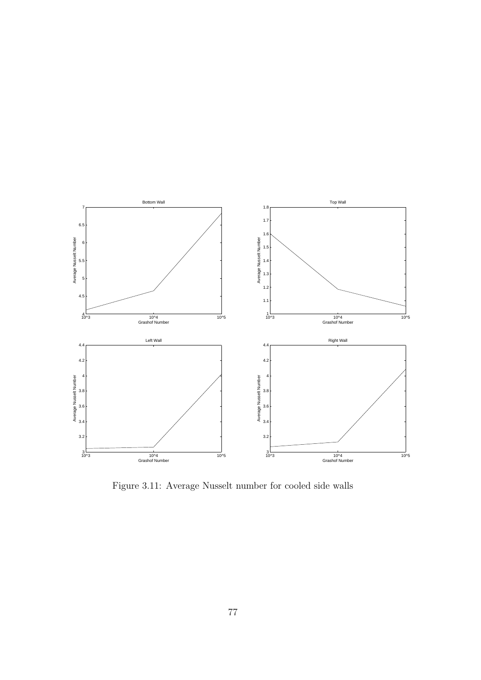

Figure 3.11: Average Nusselt number for cooled side walls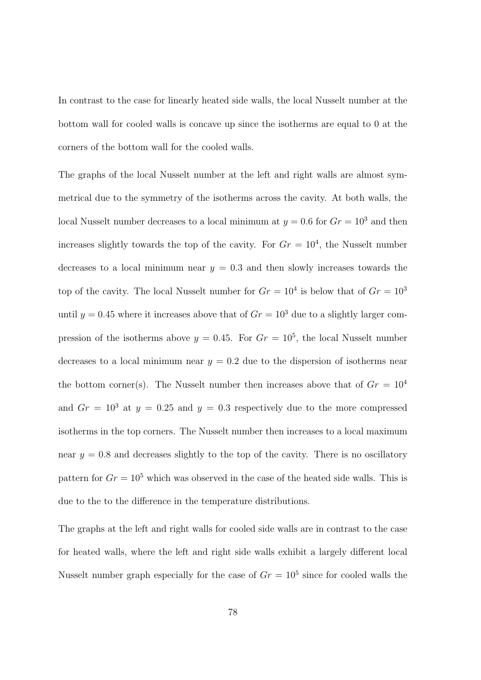In contrast to the case for linearly heated side walls, the local Nusselt number at the bottom wall for cooled walls is concave up since the isotherms are equal to 0 at the corners of the bottom wall for the cooled walls.

The graphs of the local Nusselt number at the left and right walls are almost symmetrical due to the symmetry of the isotherms across the cavity. At both walls, the local Nusselt number decreases to a local minimum at  $y = 0.6$  for  $Gr = 10<sup>3</sup>$  and then increases slightly towards the top of the cavity. For  $Gr = 10<sup>4</sup>$ , the Nusselt number decreases to a local minimum near  $y = 0.3$  and then slowly increases towards the top of the cavity. The local Nusselt number for  $Gr = 10^4$  is below that of  $Gr = 10^3$ until  $y = 0.45$  where it increases above that of  $Gr = 10<sup>3</sup>$  due to a slightly larger compression of the isotherms above  $y = 0.45$ . For  $Gr = 10^5$ , the local Nusselt number decreases to a local minimum near  $y = 0.2$  due to the dispersion of isotherms near the bottom corner(s). The Nusselt number then increases above that of  $Gr = 10^4$ and  $Gr = 10^3$  at  $y = 0.25$  and  $y = 0.3$  respectively due to the more compressed isotherms in the top corners. The Nusselt number then increases to a local maximum near  $y = 0.8$  and decreases slightly to the top of the cavity. There is no oscillatory pattern for  $Gr = 10^5$  which was observed in the case of the heated side walls. This is due to the to the difference in the temperature distributions.

The graphs at the left and right walls for cooled side walls are in contrast to the case for heated walls, where the left and right side walls exhibit a largely different local Nusselt number graph especially for the case of  $Gr = 10^5$  since for cooled walls the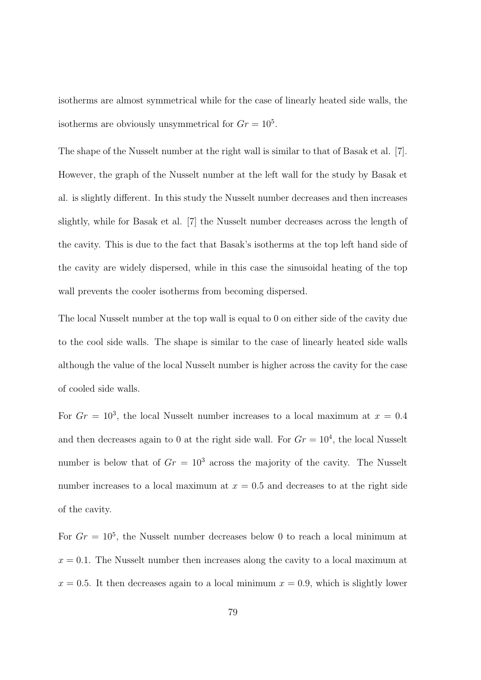isotherms are almost symmetrical while for the case of linearly heated side walls, the isotherms are obviously unsymmetrical for  $Gr = 10^5$ .

The shape of the Nusselt number at the right wall is similar to that of Basak et al. [7]. However, the graph of the Nusselt number at the left wall for the study by Basak et al. is slightly different. In this study the Nusselt number decreases and then increases slightly, while for Basak et al. [7] the Nusselt number decreases across the length of the cavity. This is due to the fact that Basak's isotherms at the top left hand side of the cavity are widely dispersed, while in this case the sinusoidal heating of the top wall prevents the cooler isotherms from becoming dispersed.

The local Nusselt number at the top wall is equal to 0 on either side of the cavity due to the cool side walls. The shape is similar to the case of linearly heated side walls although the value of the local Nusselt number is higher across the cavity for the case of cooled side walls.

For  $Gr = 10^3$ , the local Nusselt number increases to a local maximum at  $x = 0.4$ and then decreases again to 0 at the right side wall. For  $Gr = 10<sup>4</sup>$ , the local Nusselt number is below that of  $Gr = 10<sup>3</sup>$  across the majority of the cavity. The Nusselt number increases to a local maximum at  $x = 0.5$  and decreases to at the right side of the cavity.

For  $Gr = 10^5$ , the Nusselt number decreases below 0 to reach a local minimum at  $x = 0.1$ . The Nusselt number then increases along the cavity to a local maximum at  $x = 0.5$ . It then decreases again to a local minimum  $x = 0.9$ , which is slightly lower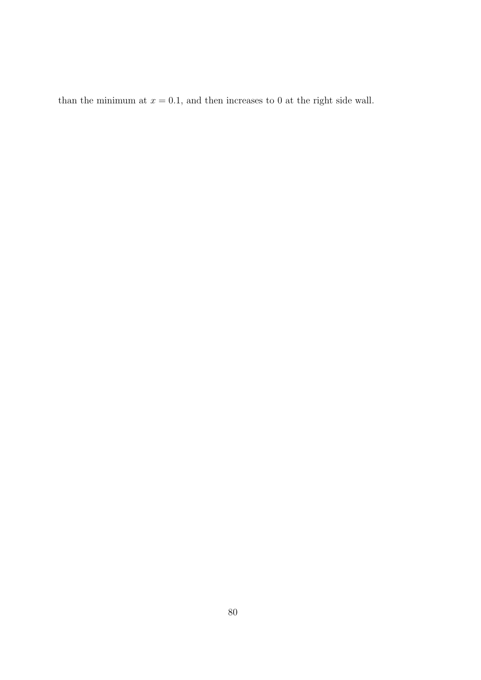than the minimum at  $x = 0.1$ , and then increases to 0 at the right side wall.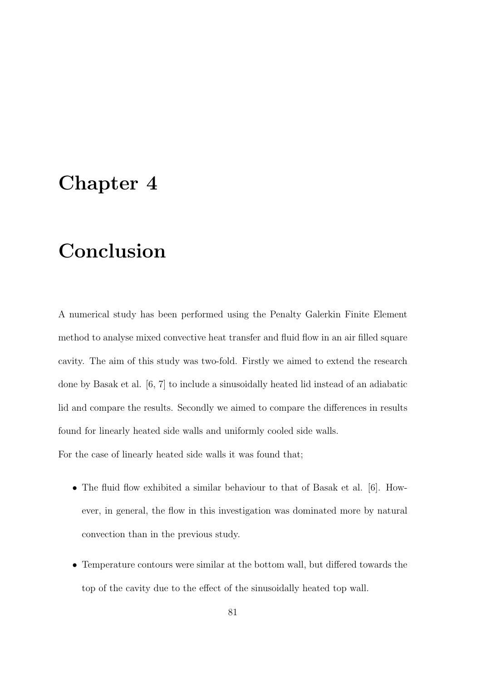## Chapter 4

## Conclusion

A numerical study has been performed using the Penalty Galerkin Finite Element method to analyse mixed convective heat transfer and fluid flow in an air filled square cavity. The aim of this study was two-fold. Firstly we aimed to extend the research done by Basak et al. [6, 7] to include a sinusoidally heated lid instead of an adiabatic lid and compare the results. Secondly we aimed to compare the differences in results found for linearly heated side walls and uniformly cooled side walls. For the case of linearly heated side walls it was found that;

- The fluid flow exhibited a similar behaviour to that of Basak et al. [6]. However, in general, the flow in this investigation was dominated more by natural convection than in the previous study.
- Temperature contours were similar at the bottom wall, but differed towards the top of the cavity due to the effect of the sinusoidally heated top wall.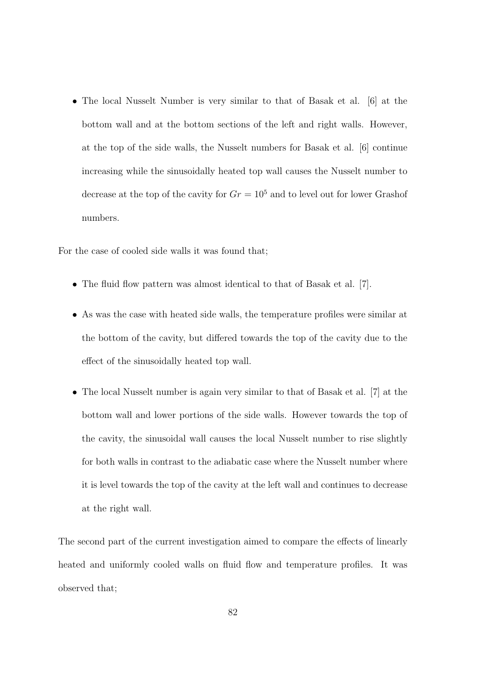• The local Nusselt Number is very similar to that of Basak et al. [6] at the bottom wall and at the bottom sections of the left and right walls. However, at the top of the side walls, the Nusselt numbers for Basak et al. [6] continue increasing while the sinusoidally heated top wall causes the Nusselt number to decrease at the top of the cavity for  $Gr = 10^5$  and to level out for lower Grashof numbers.

For the case of cooled side walls it was found that;

- The fluid flow pattern was almost identical to that of Basak et al. [7].
- As was the case with heated side walls, the temperature profiles were similar at the bottom of the cavity, but differed towards the top of the cavity due to the effect of the sinusoidally heated top wall.
- The local Nusselt number is again very similar to that of Basak et al. [7] at the bottom wall and lower portions of the side walls. However towards the top of the cavity, the sinusoidal wall causes the local Nusselt number to rise slightly for both walls in contrast to the adiabatic case where the Nusselt number where it is level towards the top of the cavity at the left wall and continues to decrease at the right wall.

The second part of the current investigation aimed to compare the effects of linearly heated and uniformly cooled walls on fluid flow and temperature profiles. It was observed that;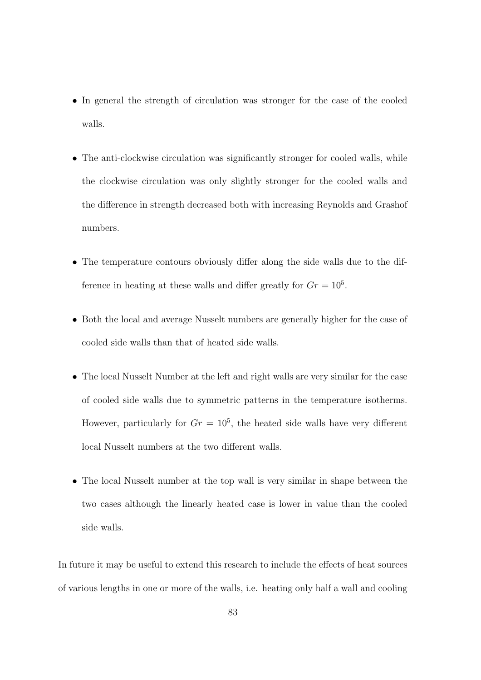- In general the strength of circulation was stronger for the case of the cooled walls.
- The anti-clockwise circulation was significantly stronger for cooled walls, while the clockwise circulation was only slightly stronger for the cooled walls and the difference in strength decreased both with increasing Reynolds and Grashof numbers.
- The temperature contours obviously differ along the side walls due to the difference in heating at these walls and differ greatly for  $Gr = 10^5$ .
- Both the local and average Nusselt numbers are generally higher for the case of cooled side walls than that of heated side walls.
- The local Nusselt Number at the left and right walls are very similar for the case of cooled side walls due to symmetric patterns in the temperature isotherms. However, particularly for  $Gr = 10^5$ , the heated side walls have very different local Nusselt numbers at the two different walls.
- The local Nusselt number at the top wall is very similar in shape between the two cases although the linearly heated case is lower in value than the cooled side walls.

In future it may be useful to extend this research to include the effects of heat sources of various lengths in one or more of the walls, i.e. heating only half a wall and cooling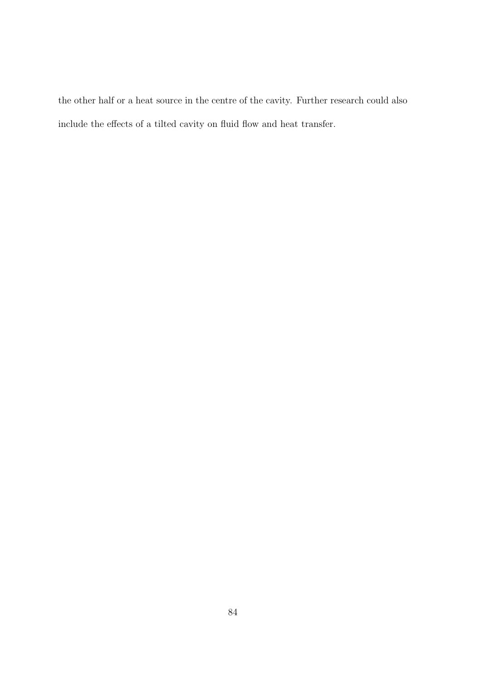the other half or a heat source in the centre of the cavity. Further research could also include the effects of a tilted cavity on fluid flow and heat transfer.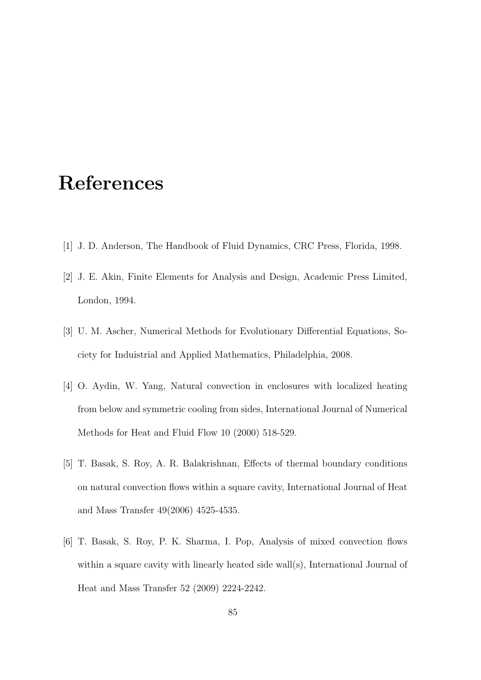## References

- [1] J. D. Anderson, The Handbook of Fluid Dynamics, CRC Press, Florida, 1998.
- [2] J. E. Akin, Finite Elements for Analysis and Design, Academic Press Limited, London, 1994.
- [3] U. M. Ascher, Numerical Methods for Evolutionary Differential Equations, Society for Induistrial and Applied Mathematics, Philadelphia, 2008.
- [4] O. Aydin, W. Yang, Natural convection in enclosures with localized heating from below and symmetric cooling from sides, International Journal of Numerical Methods for Heat and Fluid Flow 10 (2000) 518-529.
- [5] T. Basak, S. Roy, A. R. Balakrishnan, Effects of thermal boundary conditions on natural convection flows within a square cavity, International Journal of Heat and Mass Transfer 49(2006) 4525-4535.
- [6] T. Basak, S. Roy, P. K. Sharma, I. Pop, Analysis of mixed convection flows within a square cavity with linearly heated side wall(s), International Journal of Heat and Mass Transfer 52 (2009) 2224-2242.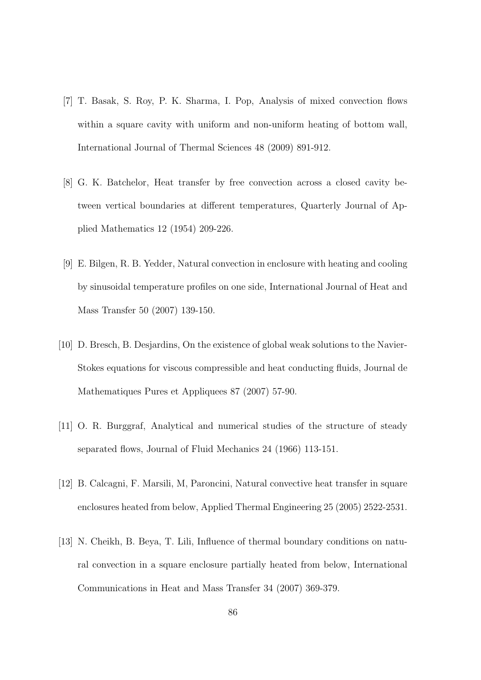- [7] T. Basak, S. Roy, P. K. Sharma, I. Pop, Analysis of mixed convection flows within a square cavity with uniform and non-uniform heating of bottom wall, International Journal of Thermal Sciences 48 (2009) 891-912.
- [8] G. K. Batchelor, Heat transfer by free convection across a closed cavity between vertical boundaries at different temperatures, Quarterly Journal of Applied Mathematics 12 (1954) 209-226.
- [9] E. Bilgen, R. B. Yedder, Natural convection in enclosure with heating and cooling by sinusoidal temperature profiles on one side, International Journal of Heat and Mass Transfer 50 (2007) 139-150.
- [10] D. Bresch, B. Desjardins, On the existence of global weak solutions to the Navier-Stokes equations for viscous compressible and heat conducting fluids, Journal de Mathematiques Pures et Appliquees 87 (2007) 57-90.
- [11] O. R. Burggraf, Analytical and numerical studies of the structure of steady separated flows, Journal of Fluid Mechanics 24 (1966) 113-151.
- [12] B. Calcagni, F. Marsili, M, Paroncini, Natural convective heat transfer in square enclosures heated from below, Applied Thermal Engineering 25 (2005) 2522-2531.
- [13] N. Cheikh, B. Beya, T. Lili, Influence of thermal boundary conditions on natural convection in a square enclosure partially heated from below, International Communications in Heat and Mass Transfer 34 (2007) 369-379.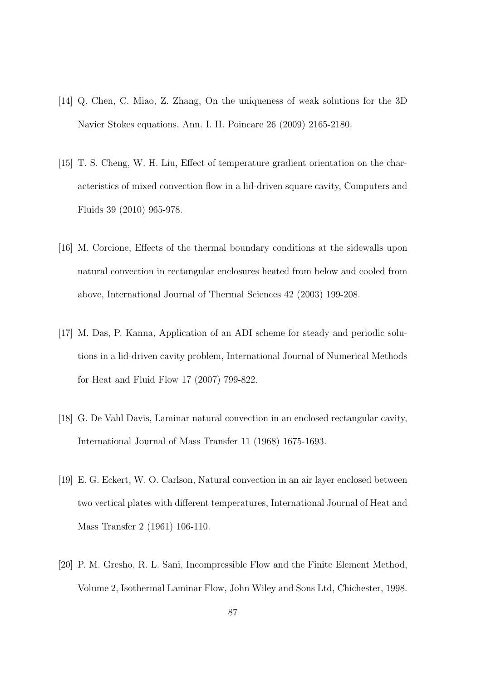- [14] Q. Chen, C. Miao, Z. Zhang, On the uniqueness of weak solutions for the 3D Navier Stokes equations, Ann. I. H. Poincare 26 (2009) 2165-2180.
- [15] T. S. Cheng, W. H. Liu, Effect of temperature gradient orientation on the characteristics of mixed convection flow in a lid-driven square cavity, Computers and Fluids 39 (2010) 965-978.
- [16] M. Corcione, Effects of the thermal boundary conditions at the sidewalls upon natural convection in rectangular enclosures heated from below and cooled from above, International Journal of Thermal Sciences 42 (2003) 199-208.
- [17] M. Das, P. Kanna, Application of an ADI scheme for steady and periodic solutions in a lid-driven cavity problem, International Journal of Numerical Methods for Heat and Fluid Flow 17 (2007) 799-822.
- [18] G. De Vahl Davis, Laminar natural convection in an enclosed rectangular cavity, International Journal of Mass Transfer 11 (1968) 1675-1693.
- [19] E. G. Eckert, W. O. Carlson, Natural convection in an air layer enclosed between two vertical plates with different temperatures, International Journal of Heat and Mass Transfer 2 (1961) 106-110.
- [20] P. M. Gresho, R. L. Sani, Incompressible Flow and the Finite Element Method, Volume 2, Isothermal Laminar Flow, John Wiley and Sons Ltd, Chichester, 1998.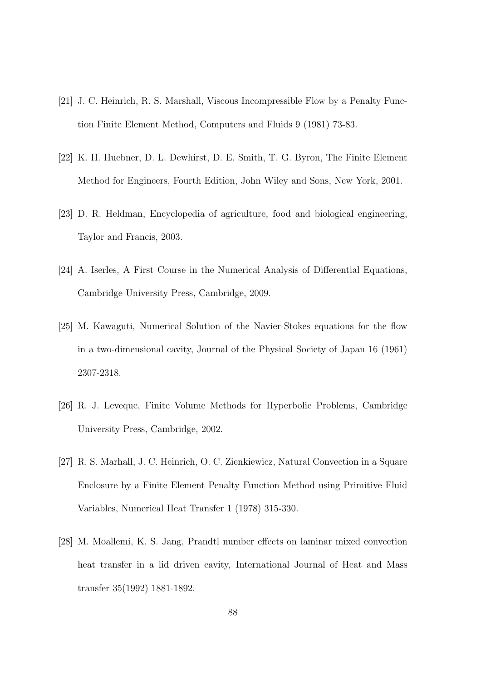- [21] J. C. Heinrich, R. S. Marshall, Viscous Incompressible Flow by a Penalty Function Finite Element Method, Computers and Fluids 9 (1981) 73-83.
- [22] K. H. Huebner, D. L. Dewhirst, D. E. Smith, T. G. Byron, The Finite Element Method for Engineers, Fourth Edition, John Wiley and Sons, New York, 2001.
- [23] D. R. Heldman, Encyclopedia of agriculture, food and biological engineering, Taylor and Francis, 2003.
- [24] A. Iserles, A First Course in the Numerical Analysis of Differential Equations, Cambridge University Press, Cambridge, 2009.
- [25] M. Kawaguti, Numerical Solution of the Navier-Stokes equations for the flow in a two-dimensional cavity, Journal of the Physical Society of Japan 16 (1961) 2307-2318.
- [26] R. J. Leveque, Finite Volume Methods for Hyperbolic Problems, Cambridge University Press, Cambridge, 2002.
- [27] R. S. Marhall, J. C. Heinrich, O. C. Zienkiewicz, Natural Convection in a Square Enclosure by a Finite Element Penalty Function Method using Primitive Fluid Variables, Numerical Heat Transfer 1 (1978) 315-330.
- [28] M. Moallemi, K. S. Jang, Prandtl number effects on laminar mixed convection heat transfer in a lid driven cavity, International Journal of Heat and Mass transfer 35(1992) 1881-1892.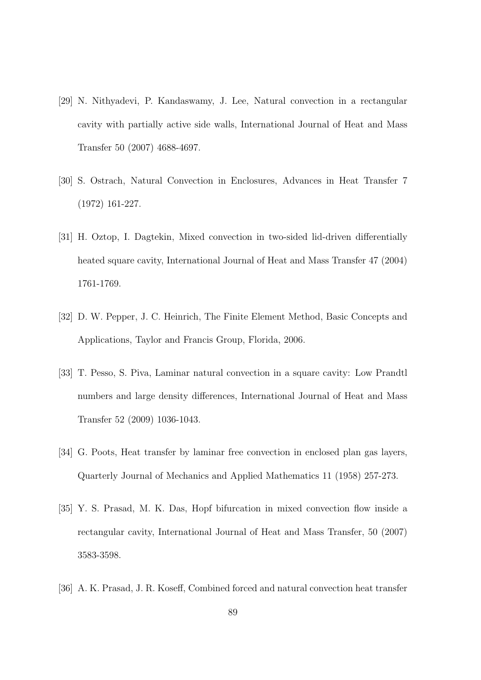- [29] N. Nithyadevi, P. Kandaswamy, J. Lee, Natural convection in a rectangular cavity with partially active side walls, International Journal of Heat and Mass Transfer 50 (2007) 4688-4697.
- [30] S. Ostrach, Natural Convection in Enclosures, Advances in Heat Transfer 7 (1972) 161-227.
- [31] H. Oztop, I. Dagtekin, Mixed convection in two-sided lid-driven differentially heated square cavity, International Journal of Heat and Mass Transfer 47 (2004) 1761-1769.
- [32] D. W. Pepper, J. C. Heinrich, The Finite Element Method, Basic Concepts and Applications, Taylor and Francis Group, Florida, 2006.
- [33] T. Pesso, S. Piva, Laminar natural convection in a square cavity: Low Prandtl numbers and large density differences, International Journal of Heat and Mass Transfer 52 (2009) 1036-1043.
- [34] G. Poots, Heat transfer by laminar free convection in enclosed plan gas layers, Quarterly Journal of Mechanics and Applied Mathematics 11 (1958) 257-273.
- [35] Y. S. Prasad, M. K. Das, Hopf bifurcation in mixed convection flow inside a rectangular cavity, International Journal of Heat and Mass Transfer, 50 (2007) 3583-3598.
- [36] A. K. Prasad, J. R. Koseff, Combined forced and natural convection heat transfer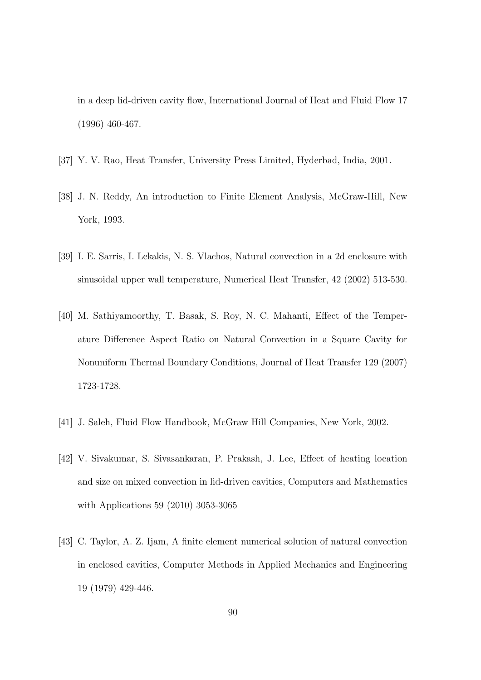in a deep lid-driven cavity flow, International Journal of Heat and Fluid Flow 17 (1996) 460-467.

- [37] Y. V. Rao, Heat Transfer, University Press Limited, Hyderbad, India, 2001.
- [38] J. N. Reddy, An introduction to Finite Element Analysis, McGraw-Hill, New York, 1993.
- [39] I. E. Sarris, I. Lekakis, N. S. Vlachos, Natural convection in a 2d enclosure with sinusoidal upper wall temperature, Numerical Heat Transfer, 42 (2002) 513-530.
- [40] M. Sathiyamoorthy, T. Basak, S. Roy, N. C. Mahanti, Effect of the Temperature Difference Aspect Ratio on Natural Convection in a Square Cavity for Nonuniform Thermal Boundary Conditions, Journal of Heat Transfer 129 (2007) 1723-1728.
- [41] J. Saleh, Fluid Flow Handbook, McGraw Hill Companies, New York, 2002.
- [42] V. Sivakumar, S. Sivasankaran, P. Prakash, J. Lee, Effect of heating location and size on mixed convection in lid-driven cavities, Computers and Mathematics with Applications 59 (2010) 3053-3065
- [43] C. Taylor, A. Z. Ijam, A finite element numerical solution of natural convection in enclosed cavities, Computer Methods in Applied Mechanics and Engineering 19 (1979) 429-446.